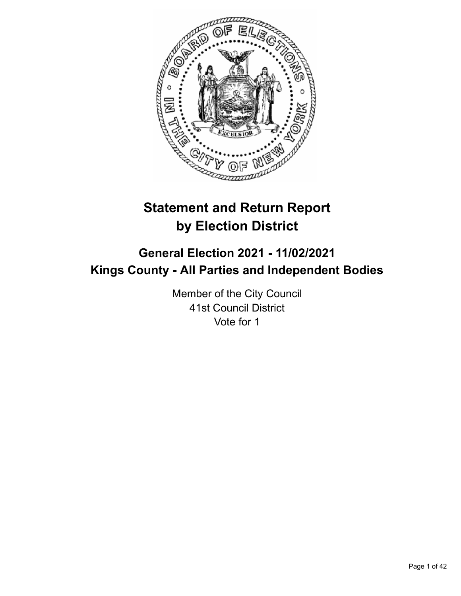

# **Statement and Return Report by Election District**

# **General Election 2021 - 11/02/2021 Kings County - All Parties and Independent Bodies**

Member of the City Council 41st Council District Vote for 1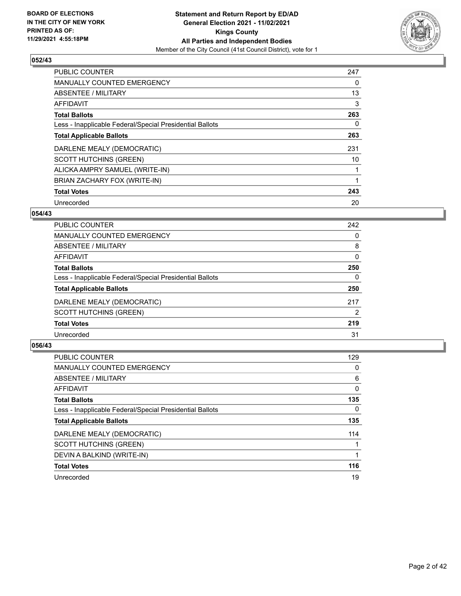

| <b>PUBLIC COUNTER</b>                                    | 247 |
|----------------------------------------------------------|-----|
| <b>MANUALLY COUNTED EMERGENCY</b>                        | 0   |
| ABSENTEE / MILITARY                                      | 13  |
| <b>AFFIDAVIT</b>                                         | 3   |
| <b>Total Ballots</b>                                     | 263 |
| Less - Inapplicable Federal/Special Presidential Ballots | 0   |
| <b>Total Applicable Ballots</b>                          | 263 |
| DARLENE MEALY (DEMOCRATIC)                               | 231 |
| <b>SCOTT HUTCHINS (GREEN)</b>                            | 10  |
| ALICKA AMPRY SAMUEL (WRITE-IN)                           |     |
| BRIAN ZACHARY FOX (WRITE-IN)                             |     |
| <b>Total Votes</b>                                       | 243 |
| Unrecorded                                               | 20  |

### **054/43**

| 242            |
|----------------|
| 0              |
| 8              |
| 0              |
| 250            |
| 0              |
| 250            |
| 217            |
| $\overline{2}$ |
| 219            |
| 31             |
|                |

| PUBLIC COUNTER                                           | 129 |
|----------------------------------------------------------|-----|
| <b>MANUALLY COUNTED EMERGENCY</b>                        | 0   |
| ABSENTEE / MILITARY                                      | 6   |
| <b>AFFIDAVIT</b>                                         | 0   |
| <b>Total Ballots</b>                                     | 135 |
| Less - Inapplicable Federal/Special Presidential Ballots | 0   |
| <b>Total Applicable Ballots</b>                          | 135 |
| DARLENE MEALY (DEMOCRATIC)                               | 114 |
| <b>SCOTT HUTCHINS (GREEN)</b>                            |     |
| DEVIN A BALKIND (WRITE-IN)                               |     |
| <b>Total Votes</b>                                       | 116 |
| Unrecorded                                               | 19  |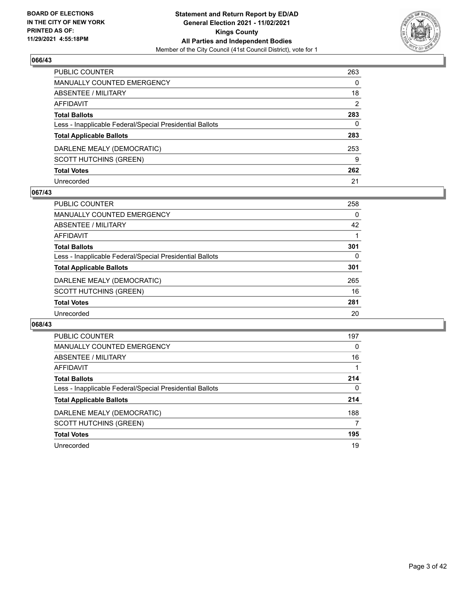

| PUBLIC COUNTER                                           | 263           |
|----------------------------------------------------------|---------------|
| <b>MANUALLY COUNTED EMERGENCY</b>                        | 0             |
| <b>ABSENTEE / MILITARY</b>                               | 18            |
| <b>AFFIDAVIT</b>                                         | $\mathcal{P}$ |
| <b>Total Ballots</b>                                     | 283           |
| Less - Inapplicable Federal/Special Presidential Ballots | 0             |
| <b>Total Applicable Ballots</b>                          | 283           |
| DARLENE MEALY (DEMOCRATIC)                               | 253           |
| <b>SCOTT HUTCHINS (GREEN)</b>                            | 9             |
| <b>Total Votes</b>                                       | 262           |
| Unrecorded                                               | 21            |

#### **067/43**

| PUBLIC COUNTER                                           | 258 |
|----------------------------------------------------------|-----|
| <b>MANUALLY COUNTED EMERGENCY</b>                        | 0   |
| ABSENTEE / MILITARY                                      | 42  |
| AFFIDAVIT                                                |     |
| <b>Total Ballots</b>                                     | 301 |
| Less - Inapplicable Federal/Special Presidential Ballots | 0   |
| <b>Total Applicable Ballots</b>                          | 301 |
| DARLENE MEALY (DEMOCRATIC)                               | 265 |
| <b>SCOTT HUTCHINS (GREEN)</b>                            | 16  |
| <b>Total Votes</b>                                       | 281 |
| Unrecorded                                               | 20  |

| <b>PUBLIC COUNTER</b>                                    | 197 |
|----------------------------------------------------------|-----|
| <b>MANUALLY COUNTED EMERGENCY</b>                        | 0   |
| ABSENTEE / MILITARY                                      | 16  |
| <b>AFFIDAVIT</b>                                         |     |
| <b>Total Ballots</b>                                     | 214 |
| Less - Inapplicable Federal/Special Presidential Ballots | 0   |
| <b>Total Applicable Ballots</b>                          | 214 |
| DARLENE MEALY (DEMOCRATIC)                               | 188 |
| SCOTT HUTCHINS (GREEN)                                   | 7   |
| <b>Total Votes</b>                                       | 195 |
| Unrecorded                                               | 19  |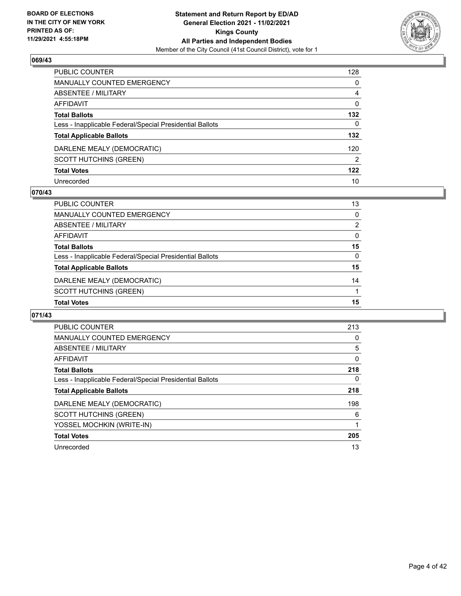

| PUBLIC COUNTER                                           | 128            |
|----------------------------------------------------------|----------------|
| <b>MANUALLY COUNTED EMERGENCY</b>                        | $\Omega$       |
| <b>ABSENTEE / MILITARY</b>                               | 4              |
| <b>AFFIDAVIT</b>                                         | $\Omega$       |
| <b>Total Ballots</b>                                     | 132            |
| Less - Inapplicable Federal/Special Presidential Ballots | 0              |
| <b>Total Applicable Ballots</b>                          | 132            |
| DARLENE MEALY (DEMOCRATIC)                               | 120            |
| <b>SCOTT HUTCHINS (GREEN)</b>                            | $\overline{2}$ |
| <b>Total Votes</b>                                       | 122            |
| Unrecorded                                               | 10             |

#### **070/43**

| PUBLIC COUNTER                                           | 13       |
|----------------------------------------------------------|----------|
| <b>MANUALLY COUNTED EMERGENCY</b>                        | 0        |
| ABSENTEE / MILITARY                                      | 2        |
| AFFIDAVIT                                                | $\Omega$ |
| <b>Total Ballots</b>                                     | 15       |
| Less - Inapplicable Federal/Special Presidential Ballots | $\Omega$ |
| <b>Total Applicable Ballots</b>                          | 15       |
| DARLENE MEALY (DEMOCRATIC)                               | 14       |
| SCOTT HUTCHINS (GREEN)                                   |          |
| <b>Total Votes</b>                                       | 15       |

| <b>PUBLIC COUNTER</b>                                    | 213 |
|----------------------------------------------------------|-----|
| <b>MANUALLY COUNTED EMERGENCY</b>                        | 0   |
| ABSENTEE / MILITARY                                      | 5   |
| AFFIDAVIT                                                | 0   |
| <b>Total Ballots</b>                                     | 218 |
| Less - Inapplicable Federal/Special Presidential Ballots | 0   |
| <b>Total Applicable Ballots</b>                          | 218 |
| DARLENE MEALY (DEMOCRATIC)                               | 198 |
| <b>SCOTT HUTCHINS (GREEN)</b>                            | 6   |
| YOSSEL MOCHKIN (WRITE-IN)                                |     |
| <b>Total Votes</b>                                       | 205 |
| Unrecorded                                               | 13  |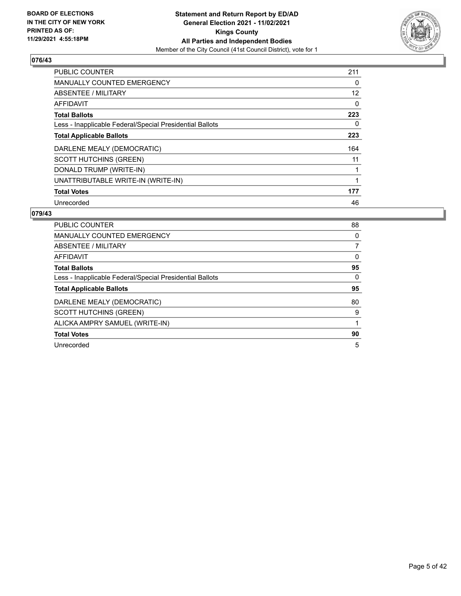

| <b>PUBLIC COUNTER</b>                                    | 211 |
|----------------------------------------------------------|-----|
| <b>MANUALLY COUNTED EMERGENCY</b>                        | 0   |
| ABSENTEE / MILITARY                                      | 12  |
| <b>AFFIDAVIT</b>                                         | 0   |
| <b>Total Ballots</b>                                     | 223 |
| Less - Inapplicable Federal/Special Presidential Ballots | 0   |
| <b>Total Applicable Ballots</b>                          | 223 |
| DARLENE MEALY (DEMOCRATIC)                               | 164 |
| <b>SCOTT HUTCHINS (GREEN)</b>                            | 11  |
| DONALD TRUMP (WRITE-IN)                                  |     |
| UNATTRIBUTABLE WRITE-IN (WRITE-IN)                       | 1   |
| <b>Total Votes</b>                                       | 177 |
| Unrecorded                                               | 46  |

| <b>PUBLIC COUNTER</b>                                    | 88 |
|----------------------------------------------------------|----|
| <b>MANUALLY COUNTED EMERGENCY</b>                        | 0  |
| ABSENTEE / MILITARY                                      |    |
| AFFIDAVIT                                                | 0  |
| <b>Total Ballots</b>                                     | 95 |
| Less - Inapplicable Federal/Special Presidential Ballots | 0  |
| <b>Total Applicable Ballots</b>                          | 95 |
| DARLENE MEALY (DEMOCRATIC)                               | 80 |
| <b>SCOTT HUTCHINS (GREEN)</b>                            | 9  |
| ALICKA AMPRY SAMUEL (WRITE-IN)                           | 1  |
| <b>Total Votes</b>                                       | 90 |
| Unrecorded                                               | 5  |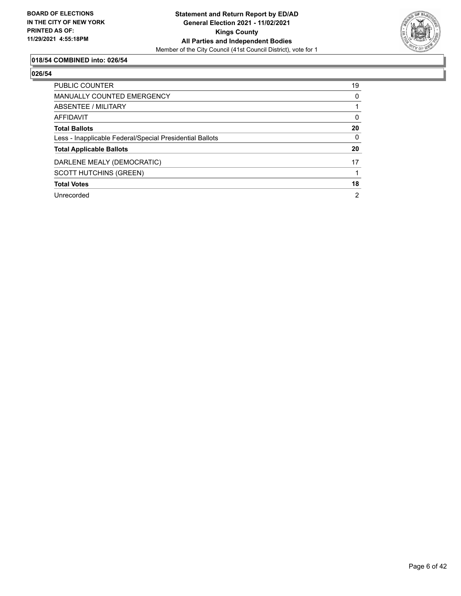

# **018/54 COMBINED into: 026/54**

| <b>PUBLIC COUNTER</b>                                    | 19             |
|----------------------------------------------------------|----------------|
| <b>MANUALLY COUNTED EMERGENCY</b>                        | 0              |
| ABSENTEE / MILITARY                                      |                |
| AFFIDAVIT                                                | $\Omega$       |
| <b>Total Ballots</b>                                     | 20             |
| Less - Inapplicable Federal/Special Presidential Ballots | $\Omega$       |
| <b>Total Applicable Ballots</b>                          | 20             |
| DARLENE MEALY (DEMOCRATIC)                               | 17             |
| <b>SCOTT HUTCHINS (GREEN)</b>                            |                |
| <b>Total Votes</b>                                       | 18             |
| Unrecorded                                               | $\overline{2}$ |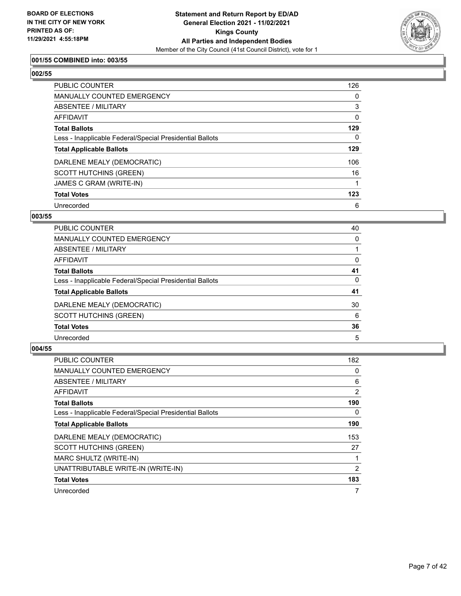

### **001/55 COMBINED into: 003/55**

# **002/55**

| <b>PUBLIC COUNTER</b>                                    | 126      |
|----------------------------------------------------------|----------|
| <b>MANUALLY COUNTED EMERGENCY</b>                        | 0        |
| ABSENTEE / MILITARY                                      | 3        |
| AFFIDAVIT                                                | $\Omega$ |
| <b>Total Ballots</b>                                     | 129      |
| Less - Inapplicable Federal/Special Presidential Ballots | 0        |
| <b>Total Applicable Ballots</b>                          | 129      |
| DARLENE MEALY (DEMOCRATIC)                               | 106      |
| <b>SCOTT HUTCHINS (GREEN)</b>                            | 16       |
| JAMES C GRAM (WRITE-IN)                                  |          |
| <b>Total Votes</b>                                       | 123      |
| Unrecorded                                               | 6        |

#### **003/55**

| <b>PUBLIC COUNTER</b>                                    | 40 |
|----------------------------------------------------------|----|
| <b>MANUALLY COUNTED EMERGENCY</b>                        | 0  |
| ABSENTEE / MILITARY                                      |    |
| AFFIDAVIT                                                | 0  |
| <b>Total Ballots</b>                                     | 41 |
| Less - Inapplicable Federal/Special Presidential Ballots | 0  |
| <b>Total Applicable Ballots</b>                          | 41 |
| DARLENE MEALY (DEMOCRATIC)                               | 30 |
| <b>SCOTT HUTCHINS (GREEN)</b>                            | 6  |
| <b>Total Votes</b>                                       | 36 |
| Unrecorded                                               | 5  |

| PUBLIC COUNTER                                           | 182           |
|----------------------------------------------------------|---------------|
| <b>MANUALLY COUNTED EMERGENCY</b>                        | 0             |
| ABSENTEE / MILITARY                                      | 6             |
| AFFIDAVIT                                                | 2             |
| <b>Total Ballots</b>                                     | 190           |
| Less - Inapplicable Federal/Special Presidential Ballots | 0             |
| <b>Total Applicable Ballots</b>                          | 190           |
| DARLENE MEALY (DEMOCRATIC)                               | 153           |
| <b>SCOTT HUTCHINS (GREEN)</b>                            | 27            |
| MARC SHULTZ (WRITE-IN)                                   |               |
| UNATTRIBUTABLE WRITE-IN (WRITE-IN)                       | $\mathcal{P}$ |
| <b>Total Votes</b>                                       | 183           |
| Unrecorded                                               | 7             |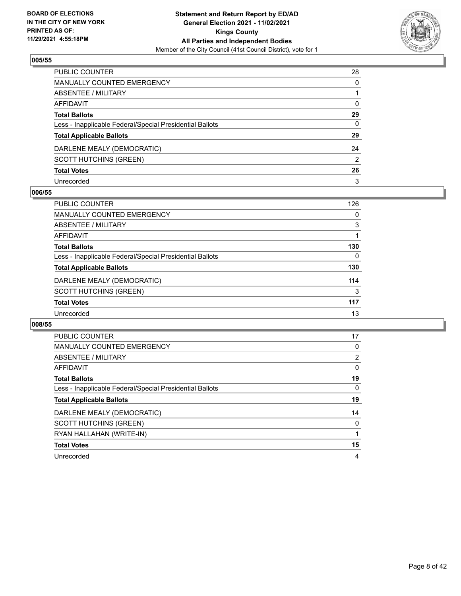

| PUBLIC COUNTER                                           | 28           |
|----------------------------------------------------------|--------------|
| MANUALLY COUNTED EMERGENCY                               | $\mathbf{0}$ |
| ABSENTEE / MILITARY                                      |              |
| <b>AFFIDAVIT</b>                                         | $\Omega$     |
| <b>Total Ballots</b>                                     | 29           |
| Less - Inapplicable Federal/Special Presidential Ballots | 0            |
| <b>Total Applicable Ballots</b>                          | 29           |
| DARLENE MEALY (DEMOCRATIC)                               | 24           |
| <b>SCOTT HUTCHINS (GREEN)</b>                            | 2            |
| <b>Total Votes</b>                                       | 26           |
| Unrecorded                                               | 3            |

#### **006/55**

| <b>PUBLIC COUNTER</b>                                    | 126      |
|----------------------------------------------------------|----------|
| <b>MANUALLY COUNTED EMERGENCY</b>                        | 0        |
| ABSENTEE / MILITARY                                      | 3        |
| AFFIDAVIT                                                |          |
| <b>Total Ballots</b>                                     | 130      |
| Less - Inapplicable Federal/Special Presidential Ballots | $\Omega$ |
| <b>Total Applicable Ballots</b>                          | 130      |
| DARLENE MEALY (DEMOCRATIC)                               | 114      |
| <b>SCOTT HUTCHINS (GREEN)</b>                            | 3        |
| <b>Total Votes</b>                                       | 117      |
| Unrecorded                                               | 13       |

| PUBLIC COUNTER                                           | 17 |
|----------------------------------------------------------|----|
| <b>MANUALLY COUNTED EMERGENCY</b>                        | 0  |
| ABSENTEE / MILITARY                                      | 2  |
| AFFIDAVIT                                                | 0  |
| <b>Total Ballots</b>                                     | 19 |
| Less - Inapplicable Federal/Special Presidential Ballots | 0  |
| <b>Total Applicable Ballots</b>                          | 19 |
| DARLENE MEALY (DEMOCRATIC)                               | 14 |
| <b>SCOTT HUTCHINS (GREEN)</b>                            | 0  |
|                                                          |    |
| RYAN HALLAHAN (WRITE-IN)                                 |    |
| <b>Total Votes</b>                                       | 15 |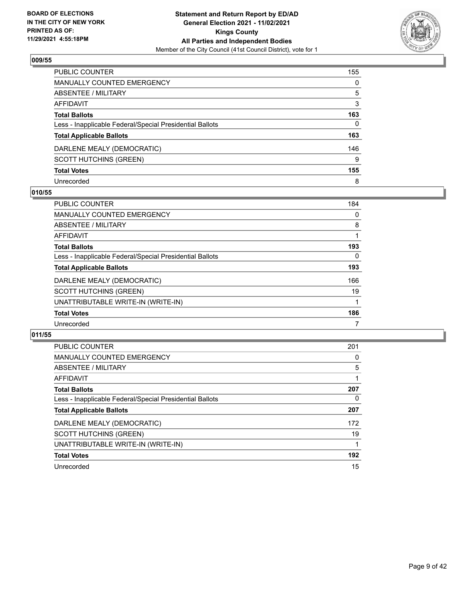

| <b>PUBLIC COUNTER</b>                                    | 155      |
|----------------------------------------------------------|----------|
| <b>MANUALLY COUNTED EMERGENCY</b>                        | $\Omega$ |
| <b>ABSENTEE / MILITARY</b>                               | 5        |
| <b>AFFIDAVIT</b>                                         | 3        |
| <b>Total Ballots</b>                                     | 163      |
| Less - Inapplicable Federal/Special Presidential Ballots | 0        |
| <b>Total Applicable Ballots</b>                          | 163      |
| DARLENE MEALY (DEMOCRATIC)                               | 146      |
| <b>SCOTT HUTCHINS (GREEN)</b>                            | 9        |
| <b>Total Votes</b>                                       | 155      |
| Unrecorded                                               | 8        |

#### **010/55**

| <b>PUBLIC COUNTER</b>                                    | 184 |
|----------------------------------------------------------|-----|
| <b>MANUALLY COUNTED EMERGENCY</b>                        | 0   |
| ABSENTEE / MILITARY                                      | 8   |
| AFFIDAVIT                                                |     |
| <b>Total Ballots</b>                                     | 193 |
| Less - Inapplicable Federal/Special Presidential Ballots | 0   |
| <b>Total Applicable Ballots</b>                          | 193 |
| DARLENE MEALY (DEMOCRATIC)                               | 166 |
| <b>SCOTT HUTCHINS (GREEN)</b>                            | 19  |
| UNATTRIBUTABLE WRITE-IN (WRITE-IN)                       |     |
| <b>Total Votes</b>                                       | 186 |
| Unrecorded                                               |     |

| <b>PUBLIC COUNTER</b>                                    | 201 |
|----------------------------------------------------------|-----|
| <b>MANUALLY COUNTED EMERGENCY</b>                        | 0   |
| ABSENTEE / MILITARY                                      | 5   |
| AFFIDAVIT                                                |     |
| <b>Total Ballots</b>                                     | 207 |
| Less - Inapplicable Federal/Special Presidential Ballots | 0   |
| <b>Total Applicable Ballots</b>                          | 207 |
| DARLENE MEALY (DEMOCRATIC)                               | 172 |
| <b>SCOTT HUTCHINS (GREEN)</b>                            | 19  |
| UNATTRIBUTABLE WRITE-IN (WRITE-IN)                       |     |
| <b>Total Votes</b>                                       | 192 |
| Unrecorded                                               | 15  |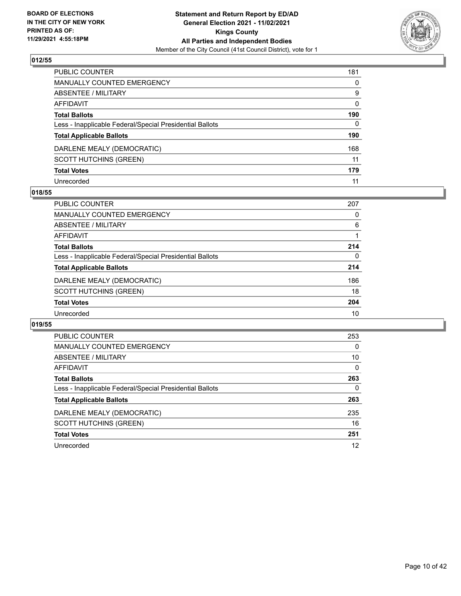

| PUBLIC COUNTER                                           | 181          |
|----------------------------------------------------------|--------------|
| <b>MANUALLY COUNTED EMERGENCY</b>                        | 0            |
| ABSENTEE / MILITARY                                      | 9            |
| AFFIDAVIT                                                | $\mathbf{0}$ |
| <b>Total Ballots</b>                                     | 190          |
| Less - Inapplicable Federal/Special Presidential Ballots | $\mathbf{0}$ |
| <b>Total Applicable Ballots</b>                          | 190          |
| DARLENE MEALY (DEMOCRATIC)                               | 168          |
| <b>SCOTT HUTCHINS (GREEN)</b>                            | 11           |
| <b>Total Votes</b>                                       | 179          |
| Unrecorded                                               | 11           |

#### **018/55**

| PUBLIC COUNTER                                           | 207 |
|----------------------------------------------------------|-----|
| <b>MANUALLY COUNTED EMERGENCY</b>                        | 0   |
| ABSENTEE / MILITARY                                      | 6   |
| AFFIDAVIT                                                |     |
| <b>Total Ballots</b>                                     | 214 |
| Less - Inapplicable Federal/Special Presidential Ballots | 0   |
| <b>Total Applicable Ballots</b>                          | 214 |
| DARLENE MEALY (DEMOCRATIC)                               | 186 |
| <b>SCOTT HUTCHINS (GREEN)</b>                            | 18  |
| <b>Total Votes</b>                                       | 204 |
| Unrecorded                                               | 10  |

| <b>PUBLIC COUNTER</b>                                    | 253      |
|----------------------------------------------------------|----------|
| <b>MANUALLY COUNTED EMERGENCY</b>                        | $\Omega$ |
| ABSENTEE / MILITARY                                      | 10       |
| <b>AFFIDAVIT</b>                                         | $\Omega$ |
| <b>Total Ballots</b>                                     | 263      |
| Less - Inapplicable Federal/Special Presidential Ballots | 0        |
| <b>Total Applicable Ballots</b>                          | 263      |
| DARLENE MEALY (DEMOCRATIC)                               | 235      |
| <b>SCOTT HUTCHINS (GREEN)</b>                            | 16       |
| <b>Total Votes</b>                                       | 251      |
| Unrecorded                                               | 12       |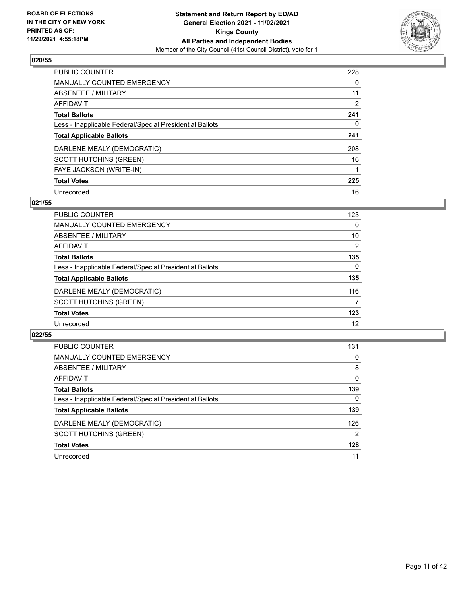

| <b>PUBLIC COUNTER</b>                                    | 228      |
|----------------------------------------------------------|----------|
| MANUALLY COUNTED EMERGENCY                               | $\Omega$ |
| ABSENTEE / MILITARY                                      | 11       |
| AFFIDAVIT                                                | 2        |
| <b>Total Ballots</b>                                     | 241      |
| Less - Inapplicable Federal/Special Presidential Ballots | 0        |
| <b>Total Applicable Ballots</b>                          | 241      |
| DARLENE MEALY (DEMOCRATIC)                               | 208      |
| <b>SCOTT HUTCHINS (GREEN)</b>                            | 16       |
| FAYE JACKSON (WRITE-IN)                                  |          |
| <b>Total Votes</b>                                       | 225      |
| Unrecorded                                               | 16       |

#### **021/55**

| <b>PUBLIC COUNTER</b>                                    | 123            |
|----------------------------------------------------------|----------------|
| <b>MANUALLY COUNTED EMERGENCY</b>                        | 0              |
| ABSENTEE / MILITARY                                      | 10             |
| <b>AFFIDAVIT</b>                                         | $\overline{2}$ |
| <b>Total Ballots</b>                                     | 135            |
| Less - Inapplicable Federal/Special Presidential Ballots | $\Omega$       |
| <b>Total Applicable Ballots</b>                          | 135            |
| DARLENE MEALY (DEMOCRATIC)                               | 116            |
| <b>SCOTT HUTCHINS (GREEN)</b>                            | 7              |
| <b>Total Votes</b>                                       | 123            |
| Unrecorded                                               | 12             |

| <b>PUBLIC COUNTER</b>                                    | 131      |
|----------------------------------------------------------|----------|
| MANUALLY COUNTED EMERGENCY                               | 0        |
| ABSENTEE / MILITARY                                      | 8        |
| AFFIDAVIT                                                | $\Omega$ |
| <b>Total Ballots</b>                                     | 139      |
| Less - Inapplicable Federal/Special Presidential Ballots | $\Omega$ |
| <b>Total Applicable Ballots</b>                          | 139      |
| DARLENE MEALY (DEMOCRATIC)                               | 126      |
| <b>SCOTT HUTCHINS (GREEN)</b>                            | 2        |
| <b>Total Votes</b>                                       | 128      |
| Unrecorded                                               | 11       |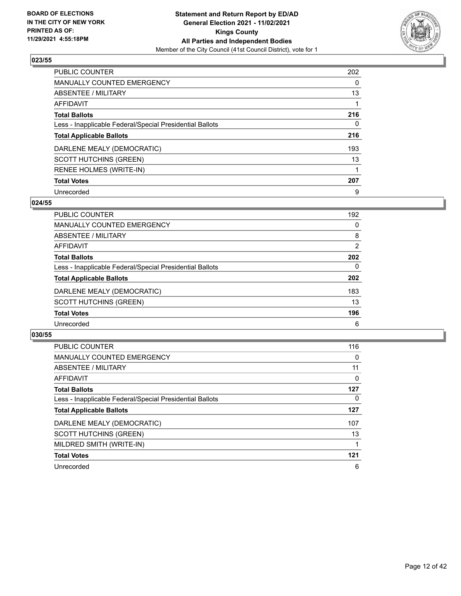

| <b>PUBLIC COUNTER</b>                                    | 202 |
|----------------------------------------------------------|-----|
| MANUALLY COUNTED EMERGENCY                               | 0   |
| ABSENTEE / MILITARY                                      | 13  |
| AFFIDAVIT                                                |     |
| <b>Total Ballots</b>                                     | 216 |
| Less - Inapplicable Federal/Special Presidential Ballots | 0   |
| <b>Total Applicable Ballots</b>                          | 216 |
| DARLENE MEALY (DEMOCRATIC)                               | 193 |
| <b>SCOTT HUTCHINS (GREEN)</b>                            | 13  |
| RENEE HOLMES (WRITE-IN)                                  |     |
| <b>Total Votes</b>                                       | 207 |
| Unrecorded                                               | 9   |

#### **024/55**

| <b>PUBLIC COUNTER</b>                                    | 192            |
|----------------------------------------------------------|----------------|
| <b>MANUALLY COUNTED EMERGENCY</b>                        | 0              |
| ABSENTEE / MILITARY                                      | 8              |
| <b>AFFIDAVIT</b>                                         | $\overline{2}$ |
| <b>Total Ballots</b>                                     | 202            |
| Less - Inapplicable Federal/Special Presidential Ballots | $\Omega$       |
| <b>Total Applicable Ballots</b>                          | 202            |
| DARLENE MEALY (DEMOCRATIC)                               | 183            |
| <b>SCOTT HUTCHINS (GREEN)</b>                            | 13             |
| <b>Total Votes</b>                                       | 196            |
| Unrecorded                                               | 6              |

| <b>PUBLIC COUNTER</b>                                    | 116      |
|----------------------------------------------------------|----------|
| MANUALLY COUNTED EMERGENCY                               | 0        |
| ABSENTEE / MILITARY                                      | 11       |
| AFFIDAVIT                                                | $\Omega$ |
| <b>Total Ballots</b>                                     | 127      |
| Less - Inapplicable Federal/Special Presidential Ballots | 0        |
| <b>Total Applicable Ballots</b>                          | 127      |
| DARLENE MEALY (DEMOCRATIC)                               | 107      |
| <b>SCOTT HUTCHINS (GREEN)</b>                            | 13       |
| MILDRED SMITH (WRITE-IN)                                 |          |
| <b>Total Votes</b>                                       | 121      |
| Unrecorded                                               | 6        |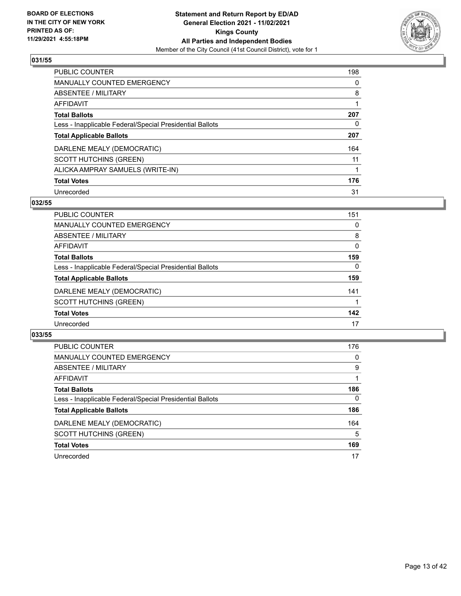

| <b>PUBLIC COUNTER</b>                                    | 198 |
|----------------------------------------------------------|-----|
| <b>MANUALLY COUNTED EMERGENCY</b>                        | 0   |
| ABSENTEE / MILITARY                                      | 8   |
| <b>AFFIDAVIT</b>                                         |     |
| <b>Total Ballots</b>                                     | 207 |
| Less - Inapplicable Federal/Special Presidential Ballots | 0   |
| <b>Total Applicable Ballots</b>                          | 207 |
| DARLENE MEALY (DEMOCRATIC)                               | 164 |
| <b>SCOTT HUTCHINS (GREEN)</b>                            | 11  |
| ALICKA AMPRAY SAMUELS (WRITE-IN)                         |     |
| <b>Total Votes</b>                                       | 176 |
| Unrecorded                                               | 31  |

#### **032/55**

| <b>PUBLIC COUNTER</b>                                    | 151      |
|----------------------------------------------------------|----------|
| MANUALLY COUNTED EMERGENCY                               | 0        |
| ABSENTEE / MILITARY                                      | 8        |
| <b>AFFIDAVIT</b>                                         | 0        |
| <b>Total Ballots</b>                                     | 159      |
| Less - Inapplicable Federal/Special Presidential Ballots | $\Omega$ |
| <b>Total Applicable Ballots</b>                          | 159      |
| DARLENE MEALY (DEMOCRATIC)                               | 141      |
| <b>SCOTT HUTCHINS (GREEN)</b>                            |          |
| <b>Total Votes</b>                                       | 142      |
| Unrecorded                                               | 17       |

| <b>PUBLIC COUNTER</b>                                    | 176          |
|----------------------------------------------------------|--------------|
| MANUALLY COUNTED EMERGENCY                               | 0            |
| ABSENTEE / MILITARY                                      | 9            |
| AFFIDAVIT                                                |              |
| <b>Total Ballots</b>                                     | 186          |
| Less - Inapplicable Federal/Special Presidential Ballots | $\mathbf{0}$ |
| <b>Total Applicable Ballots</b>                          | 186          |
| DARLENE MEALY (DEMOCRATIC)                               | 164          |
| <b>SCOTT HUTCHINS (GREEN)</b>                            | 5            |
| <b>Total Votes</b>                                       | 169          |
| Unrecorded                                               | 17           |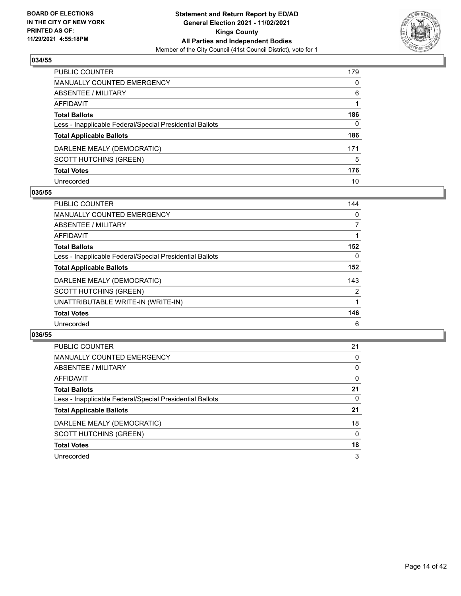

| PUBLIC COUNTER                                           | 179      |
|----------------------------------------------------------|----------|
| MANUALLY COUNTED EMERGENCY                               | $\Omega$ |
| ABSENTEE / MILITARY                                      | 6        |
| <b>AFFIDAVIT</b>                                         |          |
| <b>Total Ballots</b>                                     | 186      |
| Less - Inapplicable Federal/Special Presidential Ballots | 0        |
| <b>Total Applicable Ballots</b>                          | 186      |
| DARLENE MEALY (DEMOCRATIC)                               | 171      |
| <b>SCOTT HUTCHINS (GREEN)</b>                            | 5        |
| <b>Total Votes</b>                                       | 176      |
| Unrecorded                                               | 10       |

#### **035/55**

| <b>PUBLIC COUNTER</b>                                    | 144      |
|----------------------------------------------------------|----------|
| <b>MANUALLY COUNTED EMERGENCY</b>                        | 0        |
| ABSENTEE / MILITARY                                      | 7        |
| <b>AFFIDAVIT</b>                                         |          |
| <b>Total Ballots</b>                                     | 152      |
| Less - Inapplicable Federal/Special Presidential Ballots | $\Omega$ |
| <b>Total Applicable Ballots</b>                          | 152      |
| DARLENE MEALY (DEMOCRATIC)                               | 143      |
| <b>SCOTT HUTCHINS (GREEN)</b>                            | 2        |
| UNATTRIBUTABLE WRITE-IN (WRITE-IN)                       |          |
| <b>Total Votes</b>                                       | 146      |
| Unrecorded                                               | 6        |

| PUBLIC COUNTER                                           | 21       |
|----------------------------------------------------------|----------|
| <b>MANUALLY COUNTED EMERGENCY</b>                        | 0        |
| ABSENTEE / MILITARY                                      | $\Omega$ |
| AFFIDAVIT                                                | $\Omega$ |
| <b>Total Ballots</b>                                     | 21       |
| Less - Inapplicable Federal/Special Presidential Ballots | 0        |
| <b>Total Applicable Ballots</b>                          | 21       |
| DARLENE MEALY (DEMOCRATIC)                               | 18       |
| <b>SCOTT HUTCHINS (GREEN)</b>                            | 0        |
| <b>Total Votes</b>                                       | 18       |
| Unrecorded                                               | 3        |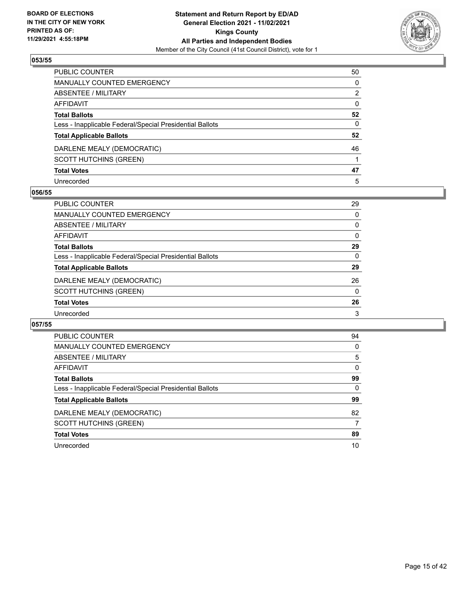

| PUBLIC COUNTER                                           | 50           |
|----------------------------------------------------------|--------------|
| MANUALLY COUNTED EMERGENCY                               | $\Omega$     |
| ABSENTEE / MILITARY                                      | 2            |
| <b>AFFIDAVIT</b>                                         | $\mathbf{0}$ |
| <b>Total Ballots</b>                                     | 52           |
| Less - Inapplicable Federal/Special Presidential Ballots | $\mathbf{0}$ |
| <b>Total Applicable Ballots</b>                          | 52           |
| DARLENE MEALY (DEMOCRATIC)                               | 46           |
| <b>SCOTT HUTCHINS (GREEN)</b>                            |              |
| <b>Total Votes</b>                                       | 47           |
| Unrecorded                                               | 5            |

#### **056/55**

| <b>PUBLIC COUNTER</b>                                    | 29       |
|----------------------------------------------------------|----------|
| <b>MANUALLY COUNTED EMERGENCY</b>                        | 0        |
| ABSENTEE / MILITARY                                      | 0        |
| AFFIDAVIT                                                | $\Omega$ |
| <b>Total Ballots</b>                                     | 29       |
| Less - Inapplicable Federal/Special Presidential Ballots | 0        |
| <b>Total Applicable Ballots</b>                          | 29       |
| DARLENE MEALY (DEMOCRATIC)                               | 26       |
| <b>SCOTT HUTCHINS (GREEN)</b>                            | $\Omega$ |
| <b>Total Votes</b>                                       | 26       |
| Unrecorded                                               | 3        |

| <b>PUBLIC COUNTER</b>                                    | 94       |
|----------------------------------------------------------|----------|
| MANUALLY COUNTED EMERGENCY                               | $\Omega$ |
| ABSENTEE / MILITARY                                      | 5        |
| <b>AFFIDAVIT</b>                                         | $\Omega$ |
| <b>Total Ballots</b>                                     | 99       |
| Less - Inapplicable Federal/Special Presidential Ballots | 0        |
| <b>Total Applicable Ballots</b>                          | 99       |
| DARLENE MEALY (DEMOCRATIC)                               | 82       |
| <b>SCOTT HUTCHINS (GREEN)</b>                            | 7        |
| <b>Total Votes</b>                                       | 89       |
|                                                          |          |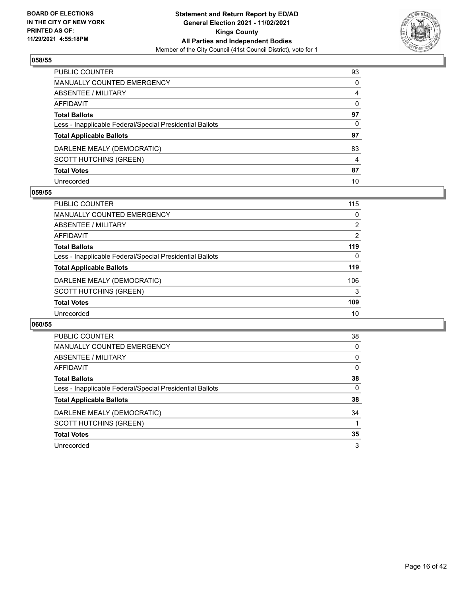

| PUBLIC COUNTER                                           | 93       |
|----------------------------------------------------------|----------|
| <b>MANUALLY COUNTED EMERGENCY</b>                        | 0        |
| <b>ABSENTEE / MILITARY</b>                               | 4        |
| <b>AFFIDAVIT</b>                                         | $\Omega$ |
| <b>Total Ballots</b>                                     | 97       |
| Less - Inapplicable Federal/Special Presidential Ballots | 0        |
| <b>Total Applicable Ballots</b>                          | 97       |
| DARLENE MEALY (DEMOCRATIC)                               | 83       |
| <b>SCOTT HUTCHINS (GREEN)</b>                            | 4        |
| <b>Total Votes</b>                                       | 87       |
| Unrecorded                                               | 10       |

#### **059/55**

| <b>PUBLIC COUNTER</b>                                    | 115            |
|----------------------------------------------------------|----------------|
| <b>MANUALLY COUNTED EMERGENCY</b>                        | 0              |
| ABSENTEE / MILITARY                                      | 2              |
| AFFIDAVIT                                                | $\overline{2}$ |
| <b>Total Ballots</b>                                     | 119            |
| Less - Inapplicable Federal/Special Presidential Ballots | $\Omega$       |
| <b>Total Applicable Ballots</b>                          | 119            |
| DARLENE MEALY (DEMOCRATIC)                               | 106            |
| <b>SCOTT HUTCHINS (GREEN)</b>                            | 3              |
| <b>Total Votes</b>                                       | 109            |
| Unrecorded                                               | 10             |

| <b>PUBLIC COUNTER</b>                                    | 38       |
|----------------------------------------------------------|----------|
| <b>MANUALLY COUNTED EMERGENCY</b>                        | 0        |
| ABSENTEE / MILITARY                                      | $\Omega$ |
| <b>AFFIDAVIT</b>                                         | $\Omega$ |
| <b>Total Ballots</b>                                     | 38       |
| Less - Inapplicable Federal/Special Presidential Ballots | $\Omega$ |
| <b>Total Applicable Ballots</b>                          | 38       |
| DARLENE MEALY (DEMOCRATIC)                               | 34       |
| SCOTT HUTCHINS (GREEN)                                   |          |
| <b>Total Votes</b>                                       | 35       |
| Unrecorded                                               | 3        |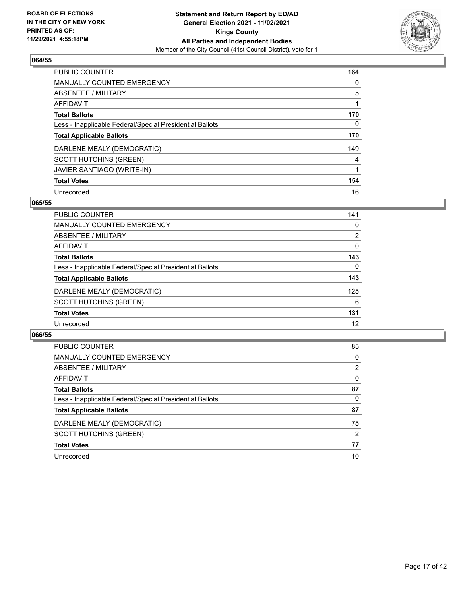

| <b>PUBLIC COUNTER</b>                                    | 164 |
|----------------------------------------------------------|-----|
| <b>MANUALLY COUNTED EMERGENCY</b>                        | 0   |
| ABSENTEE / MILITARY                                      | 5   |
| <b>AFFIDAVIT</b>                                         |     |
| <b>Total Ballots</b>                                     | 170 |
| Less - Inapplicable Federal/Special Presidential Ballots | 0   |
| <b>Total Applicable Ballots</b>                          | 170 |
| DARLENE MEALY (DEMOCRATIC)                               | 149 |
| <b>SCOTT HUTCHINS (GREEN)</b>                            | 4   |
| JAVIER SANTIAGO (WRITE-IN)                               |     |
| <b>Total Votes</b>                                       | 154 |
| Unrecorded                                               | 16  |

#### **065/55**

| <b>PUBLIC COUNTER</b>                                    | 141          |
|----------------------------------------------------------|--------------|
| <b>MANUALLY COUNTED EMERGENCY</b>                        | 0            |
| ABSENTEE / MILITARY                                      | 2            |
| AFFIDAVIT                                                | 0            |
| <b>Total Ballots</b>                                     | 143          |
| Less - Inapplicable Federal/Special Presidential Ballots | $\mathbf{0}$ |
| <b>Total Applicable Ballots</b>                          | 143          |
| DARLENE MEALY (DEMOCRATIC)                               | 125          |
| <b>SCOTT HUTCHINS (GREEN)</b>                            | 6            |
| <b>Total Votes</b>                                       | 131          |
| Unrecorded                                               | 12           |

| <b>PUBLIC COUNTER</b>                                    | 85       |
|----------------------------------------------------------|----------|
| MANUALLY COUNTED EMERGENCY                               | $\Omega$ |
| ABSENTEE / MILITARY                                      | 2        |
| AFFIDAVIT                                                | $\Omega$ |
| <b>Total Ballots</b>                                     | 87       |
| Less - Inapplicable Federal/Special Presidential Ballots | $\Omega$ |
| <b>Total Applicable Ballots</b>                          | 87       |
| DARLENE MEALY (DEMOCRATIC)                               | 75       |
| <b>SCOTT HUTCHINS (GREEN)</b>                            | 2        |
| <b>Total Votes</b>                                       | 77       |
| Unrecorded                                               | 10       |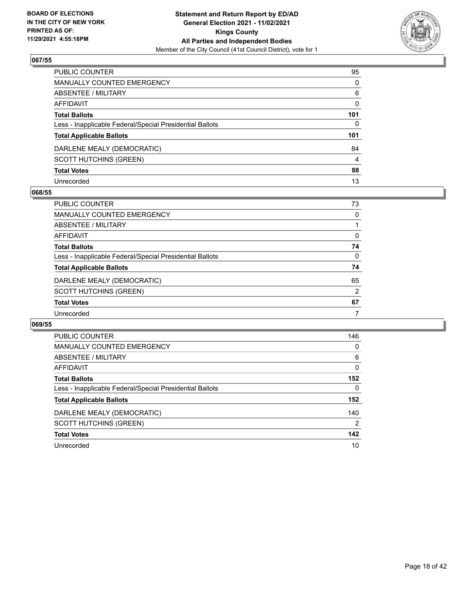

| PUBLIC COUNTER                                           | 95           |
|----------------------------------------------------------|--------------|
| MANUALLY COUNTED EMERGENCY                               | $\mathbf{0}$ |
| ABSENTEE / MILITARY                                      | 6            |
| <b>AFFIDAVIT</b>                                         | $\mathbf{0}$ |
| <b>Total Ballots</b>                                     | 101          |
| Less - Inapplicable Federal/Special Presidential Ballots | 0            |
| <b>Total Applicable Ballots</b>                          | 101          |
| DARLENE MEALY (DEMOCRATIC)                               | 84           |
| <b>SCOTT HUTCHINS (GREEN)</b>                            | 4            |
| <b>Total Votes</b>                                       | 88           |
| Unrecorded                                               | 13           |

#### **068/55**

| <b>PUBLIC COUNTER</b>                                    | 73             |
|----------------------------------------------------------|----------------|
| <b>MANUALLY COUNTED EMERGENCY</b>                        | 0              |
| ABSENTEE / MILITARY                                      |                |
| AFFIDAVIT                                                | $\Omega$       |
| <b>Total Ballots</b>                                     | 74             |
| Less - Inapplicable Federal/Special Presidential Ballots | $\Omega$       |
| <b>Total Applicable Ballots</b>                          | 74             |
| DARLENE MEALY (DEMOCRATIC)                               | 65             |
| <b>SCOTT HUTCHINS (GREEN)</b>                            | $\overline{2}$ |
| <b>Total Votes</b>                                       | 67             |
| Unrecorded                                               |                |

| <b>PUBLIC COUNTER</b>                                    | 146            |
|----------------------------------------------------------|----------------|
| <b>MANUALLY COUNTED EMERGENCY</b>                        | $\Omega$       |
| ABSENTEE / MILITARY                                      | 6              |
| <b>AFFIDAVIT</b>                                         | 0              |
| <b>Total Ballots</b>                                     | 152            |
| Less - Inapplicable Federal/Special Presidential Ballots | 0              |
| <b>Total Applicable Ballots</b>                          | 152            |
| DARLENE MEALY (DEMOCRATIC)                               | 140            |
| SCOTT HUTCHINS (GREEN)                                   | $\overline{2}$ |
| <b>Total Votes</b>                                       | 142            |
| Unrecorded                                               | 10             |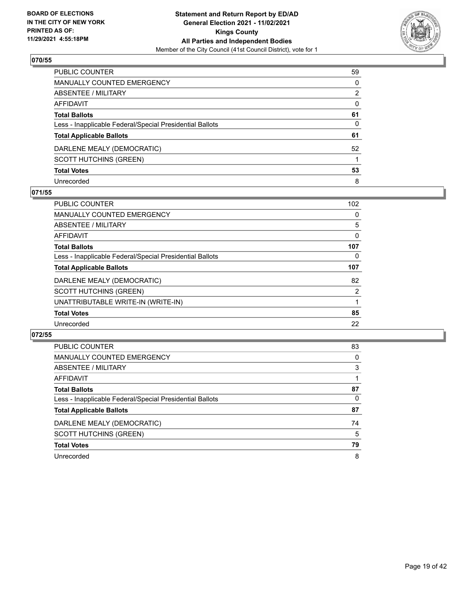

| PUBLIC COUNTER                                           | 59       |
|----------------------------------------------------------|----------|
| MANUALLY COUNTED EMERGENCY                               | $\Omega$ |
| ABSENTEE / MILITARY                                      | 2        |
| <b>AFFIDAVIT</b>                                         | $\Omega$ |
| <b>Total Ballots</b>                                     | 61       |
| Less - Inapplicable Federal/Special Presidential Ballots | 0        |
| <b>Total Applicable Ballots</b>                          | 61       |
| DARLENE MEALY (DEMOCRATIC)                               | 52       |
| <b>SCOTT HUTCHINS (GREEN)</b>                            |          |
| <b>Total Votes</b>                                       | 53       |
| Unrecorded                                               | 8        |

#### **071/55**

| <b>PUBLIC COUNTER</b>                                    | 102 |
|----------------------------------------------------------|-----|
| <b>MANUALLY COUNTED EMERGENCY</b>                        | 0   |
| ABSENTEE / MILITARY                                      | 5   |
| <b>AFFIDAVIT</b>                                         | 0   |
| <b>Total Ballots</b>                                     | 107 |
| Less - Inapplicable Federal/Special Presidential Ballots | 0   |
| <b>Total Applicable Ballots</b>                          | 107 |
| DARLENE MEALY (DEMOCRATIC)                               | 82  |
| <b>SCOTT HUTCHINS (GREEN)</b>                            | 2   |
| UNATTRIBUTABLE WRITE-IN (WRITE-IN)                       |     |
| <b>Total Votes</b>                                       | 85  |
| Unrecorded                                               | 22  |

| <b>PUBLIC COUNTER</b>                                    | 83 |
|----------------------------------------------------------|----|
| <b>MANUALLY COUNTED EMERGENCY</b>                        | 0  |
| ABSENTEE / MILITARY                                      | 3  |
| AFFIDAVIT                                                |    |
| <b>Total Ballots</b>                                     | 87 |
| Less - Inapplicable Federal/Special Presidential Ballots | 0  |
| <b>Total Applicable Ballots</b>                          | 87 |
| DARLENE MEALY (DEMOCRATIC)                               | 74 |
| <b>SCOTT HUTCHINS (GREEN)</b>                            | 5  |
| <b>Total Votes</b>                                       | 79 |
| Unrecorded                                               | 8  |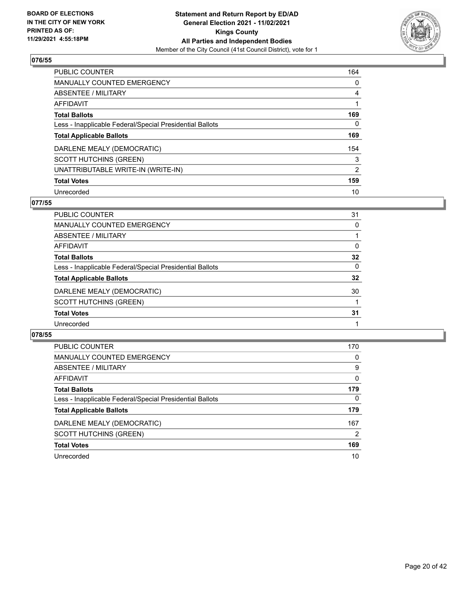

| <b>PUBLIC COUNTER</b>                                    | 164            |
|----------------------------------------------------------|----------------|
| <b>MANUALLY COUNTED EMERGENCY</b>                        | 0              |
| ABSENTEE / MILITARY                                      | 4              |
| AFFIDAVIT                                                |                |
| <b>Total Ballots</b>                                     | 169            |
| Less - Inapplicable Federal/Special Presidential Ballots | $\Omega$       |
| <b>Total Applicable Ballots</b>                          | 169            |
| DARLENE MEALY (DEMOCRATIC)                               | 154            |
| <b>SCOTT HUTCHINS (GREEN)</b>                            | 3              |
| UNATTRIBUTABLE WRITE-IN (WRITE-IN)                       | $\overline{2}$ |
| <b>Total Votes</b>                                       | 159            |
| Unrecorded                                               | 10             |

### **077/55**

| <b>PUBLIC COUNTER</b>                                    | 31       |
|----------------------------------------------------------|----------|
| <b>MANUALLY COUNTED EMERGENCY</b>                        | 0        |
| ABSENTEE / MILITARY                                      |          |
| AFFIDAVIT                                                | 0        |
| <b>Total Ballots</b>                                     | 32       |
| Less - Inapplicable Federal/Special Presidential Ballots | $\Omega$ |
| <b>Total Applicable Ballots</b>                          | 32       |
| DARLENE MEALY (DEMOCRATIC)                               | 30       |
| <b>SCOTT HUTCHINS (GREEN)</b>                            |          |
| <b>Total Votes</b>                                       | 31       |
| Unrecorded                                               |          |

| <b>PUBLIC COUNTER</b>                                    | 170      |
|----------------------------------------------------------|----------|
| <b>MANUALLY COUNTED EMERGENCY</b>                        | 0        |
| ABSENTEE / MILITARY                                      | 9        |
| AFFIDAVIT                                                | $\Omega$ |
| <b>Total Ballots</b>                                     | 179      |
| Less - Inapplicable Federal/Special Presidential Ballots | $\Omega$ |
| <b>Total Applicable Ballots</b>                          | 179      |
| DARLENE MEALY (DEMOCRATIC)                               | 167      |
| <b>SCOTT HUTCHINS (GREEN)</b>                            | 2        |
| <b>Total Votes</b>                                       | 169      |
| Unrecorded                                               | 10       |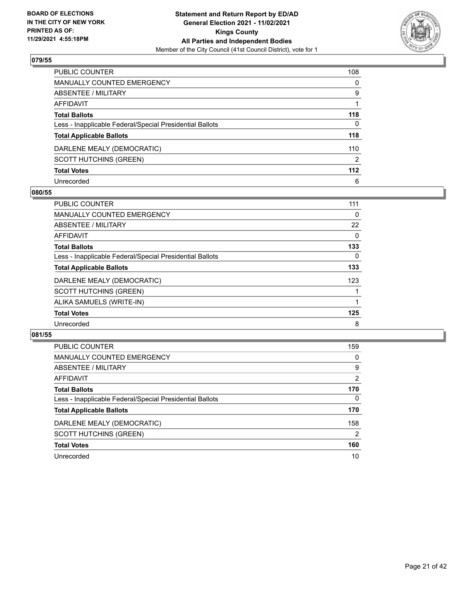

| PUBLIC COUNTER                                           | 108           |
|----------------------------------------------------------|---------------|
| <b>MANUALLY COUNTED EMERGENCY</b>                        | $\Omega$      |
| <b>ABSENTEE / MILITARY</b>                               | 9             |
| <b>AFFIDAVIT</b>                                         |               |
| <b>Total Ballots</b>                                     | 118           |
| Less - Inapplicable Federal/Special Presidential Ballots | 0             |
| <b>Total Applicable Ballots</b>                          | 118           |
| DARLENE MEALY (DEMOCRATIC)                               | 110           |
| <b>SCOTT HUTCHINS (GREEN)</b>                            | $\mathcal{P}$ |
| <b>Total Votes</b>                                       | 112           |
| Unrecorded                                               | 6             |

#### **080/55**

| <b>PUBLIC COUNTER</b>                                    | 111 |
|----------------------------------------------------------|-----|
| <b>MANUALLY COUNTED EMERGENCY</b>                        | 0   |
| ABSENTEE / MILITARY                                      | 22  |
| <b>AFFIDAVIT</b>                                         | 0   |
| <b>Total Ballots</b>                                     | 133 |
| Less - Inapplicable Federal/Special Presidential Ballots | 0   |
| <b>Total Applicable Ballots</b>                          | 133 |
| DARLENE MEALY (DEMOCRATIC)                               | 123 |
| <b>SCOTT HUTCHINS (GREEN)</b>                            |     |
| ALIKA SAMUELS (WRITE-IN)                                 |     |
| <b>Total Votes</b>                                       | 125 |
| Unrecorded                                               | 8   |

| <b>PUBLIC COUNTER</b>                                    | 159      |
|----------------------------------------------------------|----------|
| MANUALLY COUNTED EMERGENCY                               | 0        |
| ABSENTEE / MILITARY                                      | 9        |
| AFFIDAVIT                                                | 2        |
| <b>Total Ballots</b>                                     | 170      |
| Less - Inapplicable Federal/Special Presidential Ballots | $\Omega$ |
| <b>Total Applicable Ballots</b>                          | 170      |
| DARLENE MEALY (DEMOCRATIC)                               | 158      |
| <b>SCOTT HUTCHINS (GREEN)</b>                            | 2        |
| <b>Total Votes</b>                                       | 160      |
| Unrecorded                                               | 10       |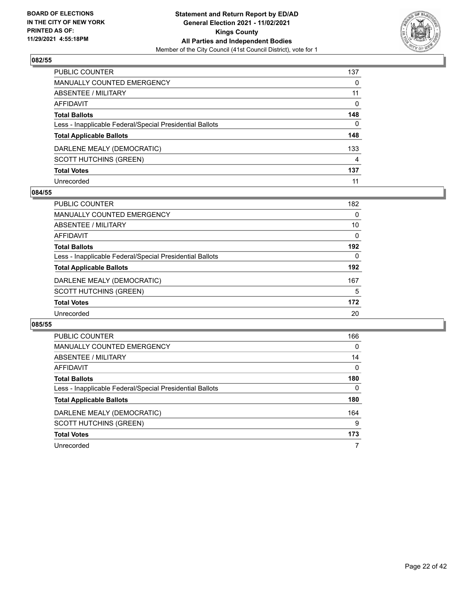

| PUBLIC COUNTER                                           | 137 |
|----------------------------------------------------------|-----|
| <b>MANUALLY COUNTED EMERGENCY</b>                        | 0   |
| <b>ABSENTEE / MILITARY</b>                               | 11  |
| <b>AFFIDAVIT</b>                                         | 0   |
| <b>Total Ballots</b>                                     | 148 |
| Less - Inapplicable Federal/Special Presidential Ballots | 0   |
| <b>Total Applicable Ballots</b>                          | 148 |
| DARLENE MEALY (DEMOCRATIC)                               | 133 |
| <b>SCOTT HUTCHINS (GREEN)</b>                            | 4   |
| <b>Total Votes</b>                                       | 137 |
| Unrecorded                                               | 11  |

#### **084/55**

| PUBLIC COUNTER                                           | 182      |
|----------------------------------------------------------|----------|
| MANUALLY COUNTED EMERGENCY                               | 0        |
| ABSENTEE / MILITARY                                      | 10       |
| <b>AFFIDAVIT</b>                                         | $\Omega$ |
| <b>Total Ballots</b>                                     | 192      |
| Less - Inapplicable Federal/Special Presidential Ballots | 0        |
| <b>Total Applicable Ballots</b>                          | 192      |
| DARLENE MEALY (DEMOCRATIC)                               | 167      |
| <b>SCOTT HUTCHINS (GREEN)</b>                            | 5        |
| <b>Total Votes</b>                                       | 172      |
| Unrecorded                                               | 20       |

| PUBLIC COUNTER                                           | 166      |
|----------------------------------------------------------|----------|
| <b>MANUALLY COUNTED EMERGENCY</b>                        | $\Omega$ |
| ABSENTEE / MILITARY                                      | 14       |
| AFFIDAVIT                                                | $\Omega$ |
| <b>Total Ballots</b>                                     | 180      |
| Less - Inapplicable Federal/Special Presidential Ballots | $\Omega$ |
| <b>Total Applicable Ballots</b>                          | 180      |
| DARLENE MEALY (DEMOCRATIC)                               | 164      |
| <b>SCOTT HUTCHINS (GREEN)</b>                            | 9        |
| <b>Total Votes</b>                                       | 173      |
| Unrecorded                                               |          |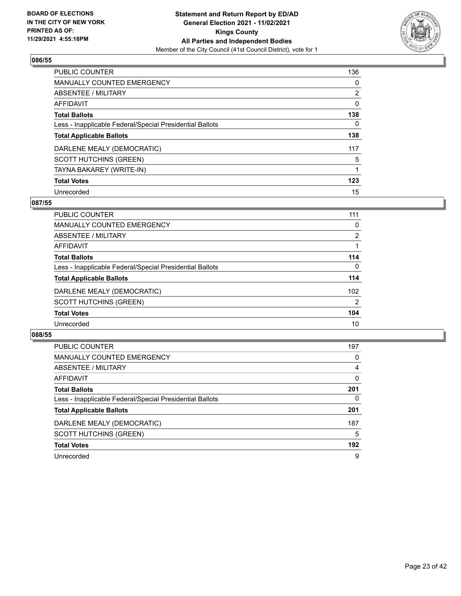

| <b>PUBLIC COUNTER</b>                                    | 136            |
|----------------------------------------------------------|----------------|
| <b>MANUALLY COUNTED EMERGENCY</b>                        | 0              |
| ABSENTEE / MILITARY                                      | $\overline{2}$ |
| <b>AFFIDAVIT</b>                                         | $\Omega$       |
| <b>Total Ballots</b>                                     | 138            |
| Less - Inapplicable Federal/Special Presidential Ballots | $\Omega$       |
| <b>Total Applicable Ballots</b>                          | 138            |
| DARLENE MEALY (DEMOCRATIC)                               | 117            |
| <b>SCOTT HUTCHINS (GREEN)</b>                            | 5              |
| TAYNA BAKAREY (WRITE-IN)                                 |                |
| <b>Total Votes</b>                                       | 123            |
| Unrecorded                                               | 15             |

#### **087/55**

| <b>PUBLIC COUNTER</b>                                    | 111            |
|----------------------------------------------------------|----------------|
| <b>MANUALLY COUNTED EMERGENCY</b>                        | 0              |
| ABSENTEE / MILITARY                                      | 2              |
| AFFIDAVIT                                                |                |
| <b>Total Ballots</b>                                     | 114            |
| Less - Inapplicable Federal/Special Presidential Ballots | $\mathbf{0}$   |
| <b>Total Applicable Ballots</b>                          | 114            |
| DARLENE MEALY (DEMOCRATIC)                               | 102            |
| <b>SCOTT HUTCHINS (GREEN)</b>                            | $\overline{2}$ |
| <b>Total Votes</b>                                       | 104            |
| Unrecorded                                               | 10             |

| <b>PUBLIC COUNTER</b>                                    | 197      |
|----------------------------------------------------------|----------|
| MANUALLY COUNTED EMERGENCY                               | 0        |
| ABSENTEE / MILITARY                                      | 4        |
| AFFIDAVIT                                                | $\Omega$ |
| <b>Total Ballots</b>                                     | 201      |
| Less - Inapplicable Federal/Special Presidential Ballots | 0        |
| <b>Total Applicable Ballots</b>                          | 201      |
| DARLENE MEALY (DEMOCRATIC)                               | 187      |
| <b>SCOTT HUTCHINS (GREEN)</b>                            | 5        |
| <b>Total Votes</b>                                       | 192      |
| Unrecorded                                               | 9        |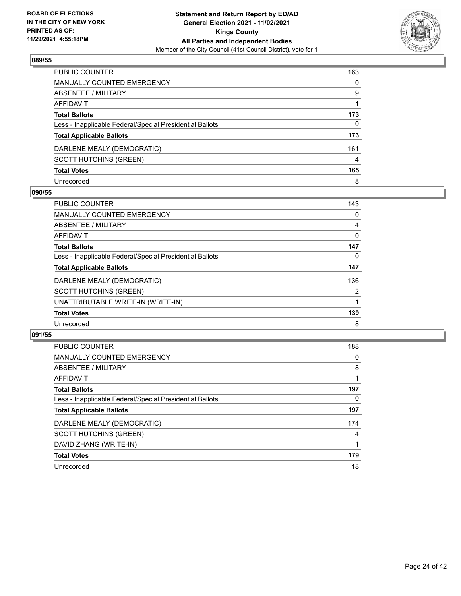

| PUBLIC COUNTER                                           | 163      |
|----------------------------------------------------------|----------|
| <b>MANUALLY COUNTED EMERGENCY</b>                        | $\Omega$ |
| <b>ABSENTEE / MILITARY</b>                               | 9        |
| <b>AFFIDAVIT</b>                                         |          |
| <b>Total Ballots</b>                                     | 173      |
| Less - Inapplicable Federal/Special Presidential Ballots | 0        |
| <b>Total Applicable Ballots</b>                          | 173      |
| DARLENE MEALY (DEMOCRATIC)                               | 161      |
| <b>SCOTT HUTCHINS (GREEN)</b>                            | 4        |
| <b>Total Votes</b>                                       | 165      |
| Unrecorded                                               | 8        |

#### **090/55**

| <b>PUBLIC COUNTER</b>                                    | 143 |
|----------------------------------------------------------|-----|
| <b>MANUALLY COUNTED EMERGENCY</b>                        | 0   |
| ABSENTEE / MILITARY                                      | 4   |
| AFFIDAVIT                                                | 0   |
| <b>Total Ballots</b>                                     | 147 |
| Less - Inapplicable Federal/Special Presidential Ballots | 0   |
| <b>Total Applicable Ballots</b>                          | 147 |
| DARLENE MEALY (DEMOCRATIC)                               | 136 |
| <b>SCOTT HUTCHINS (GREEN)</b>                            | 2   |
| UNATTRIBUTABLE WRITE-IN (WRITE-IN)                       |     |
| <b>Total Votes</b>                                       | 139 |
| Unrecorded                                               | 8   |

| <b>PUBLIC COUNTER</b>                                    | 188 |
|----------------------------------------------------------|-----|
| <b>MANUALLY COUNTED EMERGENCY</b>                        | 0   |
| ABSENTEE / MILITARY                                      | 8   |
| <b>AFFIDAVIT</b>                                         |     |
| <b>Total Ballots</b>                                     | 197 |
| Less - Inapplicable Federal/Special Presidential Ballots | 0   |
| <b>Total Applicable Ballots</b>                          | 197 |
| DARLENE MEALY (DEMOCRATIC)                               | 174 |
| <b>SCOTT HUTCHINS (GREEN)</b>                            | 4   |
| DAVID ZHANG (WRITE-IN)                                   |     |
| <b>Total Votes</b>                                       | 179 |
| Unrecorded                                               | 18  |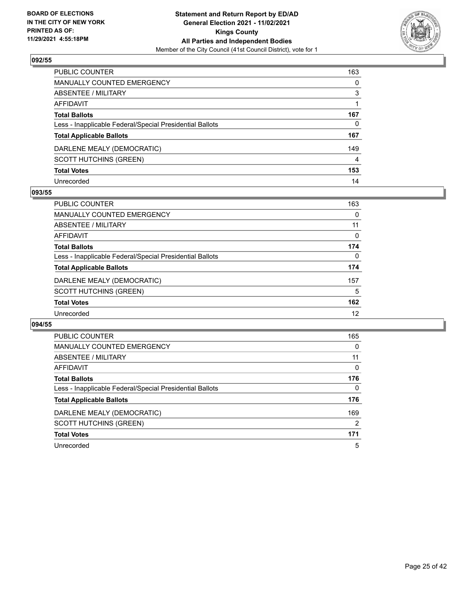

| PUBLIC COUNTER                                           | 163      |
|----------------------------------------------------------|----------|
| <b>MANUALLY COUNTED EMERGENCY</b>                        | $\Omega$ |
| <b>ABSENTEE / MILITARY</b>                               | 3        |
| <b>AFFIDAVIT</b>                                         |          |
| <b>Total Ballots</b>                                     | 167      |
| Less - Inapplicable Federal/Special Presidential Ballots | 0        |
| <b>Total Applicable Ballots</b>                          | 167      |
| DARLENE MEALY (DEMOCRATIC)                               | 149      |
| <b>SCOTT HUTCHINS (GREEN)</b>                            | 4        |
| <b>Total Votes</b>                                       | 153      |
| Unrecorded                                               | 14       |

#### **093/55**

| <b>PUBLIC COUNTER</b>                                    | 163      |
|----------------------------------------------------------|----------|
| MANUALLY COUNTED EMERGENCY                               | 0        |
| ABSENTEE / MILITARY                                      | 11       |
| AFFIDAVIT                                                | 0        |
| <b>Total Ballots</b>                                     | 174      |
| Less - Inapplicable Federal/Special Presidential Ballots | $\Omega$ |
| <b>Total Applicable Ballots</b>                          | 174      |
| DARLENE MEALY (DEMOCRATIC)                               | 157      |
| <b>SCOTT HUTCHINS (GREEN)</b>                            | 5        |
| <b>Total Votes</b>                                       | 162      |
| Unrecorded                                               | 12       |

| <b>PUBLIC COUNTER</b>                                    | 165            |
|----------------------------------------------------------|----------------|
| <b>MANUALLY COUNTED EMERGENCY</b>                        | $\Omega$       |
| ABSENTEE / MILITARY                                      | 11             |
| <b>AFFIDAVIT</b>                                         | 0              |
| <b>Total Ballots</b>                                     | 176            |
| Less - Inapplicable Federal/Special Presidential Ballots | $\Omega$       |
| <b>Total Applicable Ballots</b>                          | 176            |
| DARLENE MEALY (DEMOCRATIC)                               | 169            |
| SCOTT HUTCHINS (GREEN)                                   | $\overline{2}$ |
| <b>Total Votes</b>                                       | 171            |
| Unrecorded                                               | 5              |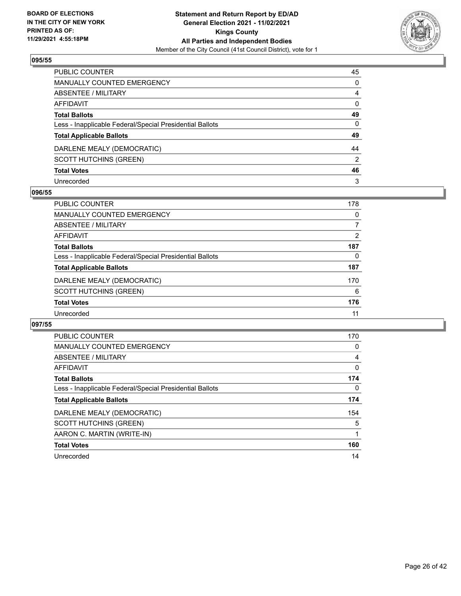

| PUBLIC COUNTER                                           | 45           |
|----------------------------------------------------------|--------------|
| MANUALLY COUNTED EMERGENCY                               | $\Omega$     |
| <b>ABSENTEE / MILITARY</b>                               | 4            |
| <b>AFFIDAVIT</b>                                         | $\mathbf{0}$ |
| <b>Total Ballots</b>                                     | 49           |
| Less - Inapplicable Federal/Special Presidential Ballots | $\mathbf{0}$ |
| <b>Total Applicable Ballots</b>                          | 49           |
| DARLENE MEALY (DEMOCRATIC)                               | 44           |
| <b>SCOTT HUTCHINS (GREEN)</b>                            | 2            |
| <b>Total Votes</b>                                       | 46           |
| Unrecorded                                               | 3            |

#### **096/55**

| <b>PUBLIC COUNTER</b>                                    | 178 |
|----------------------------------------------------------|-----|
| <b>MANUALLY COUNTED EMERGENCY</b>                        | 0   |
| ABSENTEE / MILITARY                                      |     |
| AFFIDAVIT                                                | 2   |
| <b>Total Ballots</b>                                     | 187 |
| Less - Inapplicable Federal/Special Presidential Ballots | 0   |
| <b>Total Applicable Ballots</b>                          | 187 |
| DARLENE MEALY (DEMOCRATIC)                               | 170 |
| <b>SCOTT HUTCHINS (GREEN)</b>                            | 6   |
| <b>Total Votes</b>                                       | 176 |
| Unrecorded                                               | 11  |

| <b>PUBLIC COUNTER</b>                                    | 170 |
|----------------------------------------------------------|-----|
| <b>MANUALLY COUNTED EMERGENCY</b>                        | 0   |
| ABSENTEE / MILITARY                                      | 4   |
| AFFIDAVIT                                                | 0   |
| <b>Total Ballots</b>                                     | 174 |
| Less - Inapplicable Federal/Special Presidential Ballots | 0   |
| <b>Total Applicable Ballots</b>                          | 174 |
| DARLENE MEALY (DEMOCRATIC)                               | 154 |
| <b>SCOTT HUTCHINS (GREEN)</b>                            | 5   |
| AARON C. MARTIN (WRITE-IN)                               |     |
| <b>Total Votes</b>                                       | 160 |
| Unrecorded                                               | 14  |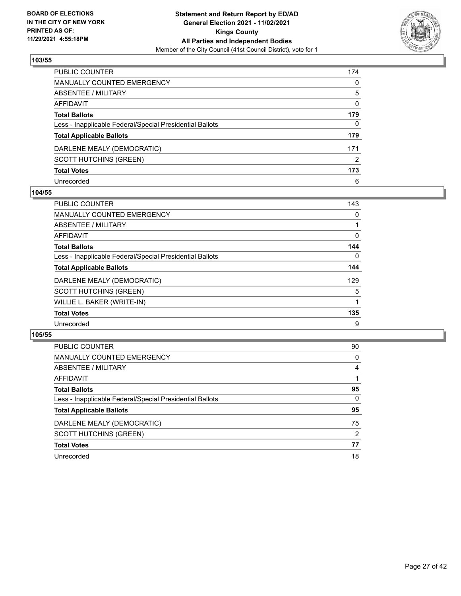

| PUBLIC COUNTER                                           | 174           |
|----------------------------------------------------------|---------------|
| <b>MANUALLY COUNTED EMERGENCY</b>                        | $\Omega$      |
| <b>ABSENTEE / MILITARY</b>                               | 5             |
| <b>AFFIDAVIT</b>                                         | 0             |
| <b>Total Ballots</b>                                     | 179           |
| Less - Inapplicable Federal/Special Presidential Ballots | 0             |
| <b>Total Applicable Ballots</b>                          | 179           |
| DARLENE MEALY (DEMOCRATIC)                               | 171           |
| <b>SCOTT HUTCHINS (GREEN)</b>                            | $\mathcal{P}$ |
| <b>Total Votes</b>                                       | 173           |
| Unrecorded                                               | 6             |

#### **104/55**

| <b>PUBLIC COUNTER</b>                                    | 143 |
|----------------------------------------------------------|-----|
| MANUALLY COUNTED EMERGENCY                               | 0   |
| ABSENTEE / MILITARY                                      |     |
| AFFIDAVIT                                                | 0   |
| <b>Total Ballots</b>                                     | 144 |
| Less - Inapplicable Federal/Special Presidential Ballots | 0   |
| <b>Total Applicable Ballots</b>                          | 144 |
| DARLENE MEALY (DEMOCRATIC)                               | 129 |
| <b>SCOTT HUTCHINS (GREEN)</b>                            | 5   |
| WILLIE L. BAKER (WRITE-IN)                               |     |
| <b>Total Votes</b>                                       | 135 |
| Unrecorded                                               | 9   |

| PUBLIC COUNTER                                           | 90       |
|----------------------------------------------------------|----------|
| MANUALLY COUNTED EMERGENCY                               | 0        |
| ABSENTEE / MILITARY                                      | 4        |
| AFFIDAVIT                                                |          |
| <b>Total Ballots</b>                                     | 95       |
| Less - Inapplicable Federal/Special Presidential Ballots | $\Omega$ |
| <b>Total Applicable Ballots</b>                          | 95       |
| DARLENE MEALY (DEMOCRATIC)                               | 75       |
| <b>SCOTT HUTCHINS (GREEN)</b>                            | 2        |
| <b>Total Votes</b>                                       | 77       |
| Unrecorded                                               | 18       |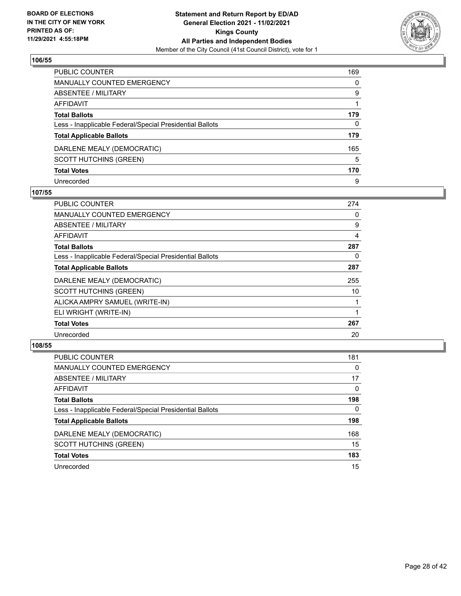

| PUBLIC COUNTER                                           | 169      |
|----------------------------------------------------------|----------|
| <b>MANUALLY COUNTED EMERGENCY</b>                        | $\Omega$ |
| <b>ABSENTEE / MILITARY</b>                               | 9        |
| <b>AFFIDAVIT</b>                                         |          |
| <b>Total Ballots</b>                                     | 179      |
| Less - Inapplicable Federal/Special Presidential Ballots | 0        |
| <b>Total Applicable Ballots</b>                          | 179      |
| DARLENE MEALY (DEMOCRATIC)                               | 165      |
| <b>SCOTT HUTCHINS (GREEN)</b>                            | 5        |
| <b>Total Votes</b>                                       | 170      |
| Unrecorded                                               | 9        |

#### **107/55**

| PUBLIC COUNTER                                           | 274 |
|----------------------------------------------------------|-----|
| <b>MANUALLY COUNTED EMERGENCY</b>                        | 0   |
| ABSENTEE / MILITARY                                      | 9   |
| AFFIDAVIT                                                | 4   |
| <b>Total Ballots</b>                                     | 287 |
| Less - Inapplicable Federal/Special Presidential Ballots | 0   |
| <b>Total Applicable Ballots</b>                          | 287 |
| DARLENE MEALY (DEMOCRATIC)                               | 255 |
| <b>SCOTT HUTCHINS (GREEN)</b>                            | 10  |
| ALICKA AMPRY SAMUEL (WRITE-IN)                           |     |
| ELI WRIGHT (WRITE-IN)                                    |     |
| <b>Total Votes</b>                                       | 267 |
| Unrecorded                                               | 20  |

| <b>PUBLIC COUNTER</b>                                    | 181      |
|----------------------------------------------------------|----------|
| <b>MANUALLY COUNTED EMERGENCY</b>                        | $\Omega$ |
| ABSENTEE / MILITARY                                      | 17       |
| AFFIDAVIT                                                | 0        |
| <b>Total Ballots</b>                                     | 198      |
| Less - Inapplicable Federal/Special Presidential Ballots | $\Omega$ |
| <b>Total Applicable Ballots</b>                          | 198      |
| DARLENE MEALY (DEMOCRATIC)                               | 168      |
| SCOTT HUTCHINS (GREEN)                                   | 15       |
| <b>Total Votes</b>                                       | 183      |
| Unrecorded                                               | 15       |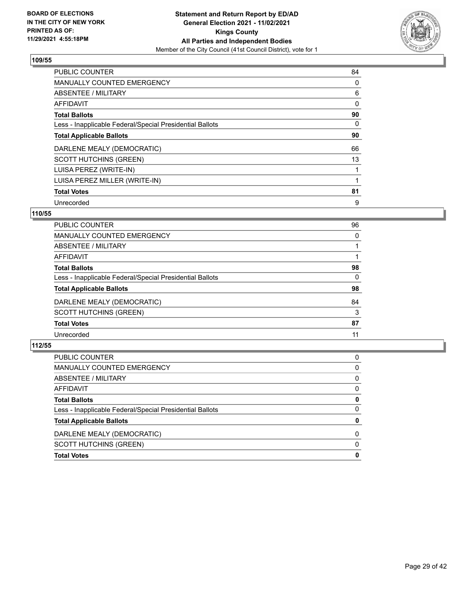

| <b>PUBLIC COUNTER</b>                                    | 84 |
|----------------------------------------------------------|----|
| <b>MANUALLY COUNTED EMERGENCY</b>                        | 0  |
| ABSENTEE / MILITARY                                      | 6  |
| <b>AFFIDAVIT</b>                                         | 0  |
| <b>Total Ballots</b>                                     | 90 |
| Less - Inapplicable Federal/Special Presidential Ballots | 0  |
| <b>Total Applicable Ballots</b>                          | 90 |
| DARLENE MEALY (DEMOCRATIC)                               | 66 |
| <b>SCOTT HUTCHINS (GREEN)</b>                            | 13 |
| LUISA PEREZ (WRITE-IN)                                   |    |
| LUISA PEREZ MILLER (WRITE-IN)                            |    |
| <b>Total Votes</b>                                       | 81 |
| Unrecorded                                               | 9  |

# **110/55**

| PUBLIC COUNTER                                           | 96       |
|----------------------------------------------------------|----------|
| <b>MANUALLY COUNTED EMERGENCY</b>                        | $\Omega$ |
| ABSENTEE / MILITARY                                      |          |
| AFFIDAVIT                                                |          |
| <b>Total Ballots</b>                                     | 98       |
| Less - Inapplicable Federal/Special Presidential Ballots | $\Omega$ |
| <b>Total Applicable Ballots</b>                          | 98       |
| DARLENE MEALY (DEMOCRATIC)                               | 84       |
| SCOTT HUTCHINS (GREEN)                                   | 3        |
| <b>Total Votes</b>                                       | 87       |
| Unrecorded                                               | 11       |
|                                                          |          |

| <b>SCOTT HUTCHINS (GREEN)</b><br><b>Total Votes</b>      | $\Omega$<br>0 |
|----------------------------------------------------------|---------------|
| DARLENE MEALY (DEMOCRATIC)                               | 0             |
| <b>Total Applicable Ballots</b>                          | 0             |
| Less - Inapplicable Federal/Special Presidential Ballots | 0             |
| <b>Total Ballots</b>                                     | 0             |
| AFFIDAVIT                                                | $\Omega$      |
| ABSENTEE / MILITARY                                      | $\Omega$      |
| MANUALLY COUNTED EMERGENCY                               | $\Omega$      |
| PUBLIC COUNTER                                           | 0             |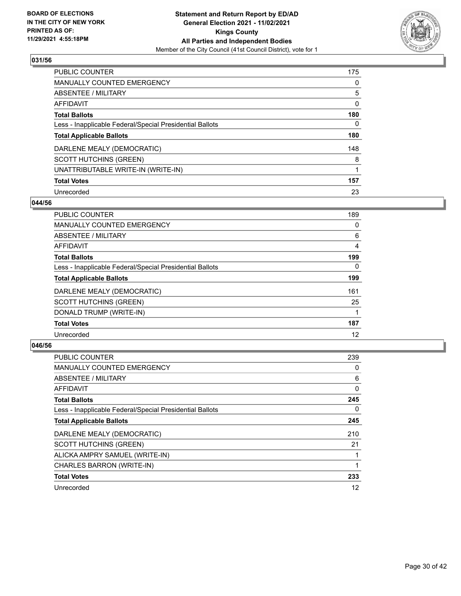

| <b>PUBLIC COUNTER</b>                                    | 175      |
|----------------------------------------------------------|----------|
| <b>MANUALLY COUNTED EMERGENCY</b>                        | $\Omega$ |
| ABSENTEE / MILITARY                                      | 5        |
| AFFIDAVIT                                                | 0        |
| <b>Total Ballots</b>                                     | 180      |
| Less - Inapplicable Federal/Special Presidential Ballots | 0        |
| <b>Total Applicable Ballots</b>                          | 180      |
| DARLENE MEALY (DEMOCRATIC)                               | 148      |
| <b>SCOTT HUTCHINS (GREEN)</b>                            | 8        |
| UNATTRIBUTABLE WRITE-IN (WRITE-IN)                       |          |
| <b>Total Votes</b>                                       | 157      |
| Unrecorded                                               | 23       |

#### **044/56**

| <b>PUBLIC COUNTER</b>                                    | 189      |
|----------------------------------------------------------|----------|
| <b>MANUALLY COUNTED EMERGENCY</b>                        | $\Omega$ |
| ABSENTEE / MILITARY                                      | 6        |
| <b>AFFIDAVIT</b>                                         | 4        |
| <b>Total Ballots</b>                                     | 199      |
| Less - Inapplicable Federal/Special Presidential Ballots | $\Omega$ |
| <b>Total Applicable Ballots</b>                          | 199      |
| DARLENE MEALY (DEMOCRATIC)                               | 161      |
| <b>SCOTT HUTCHINS (GREEN)</b>                            | 25       |
| DONALD TRUMP (WRITE-IN)                                  |          |
| <b>Total Votes</b>                                       | 187      |
| Unrecorded                                               | 12       |

| <b>PUBLIC COUNTER</b>                                    | 239 |
|----------------------------------------------------------|-----|
| <b>MANUALLY COUNTED EMERGENCY</b>                        | 0   |
| ABSENTEE / MILITARY                                      | 6   |
| AFFIDAVIT                                                | 0   |
| <b>Total Ballots</b>                                     | 245 |
| Less - Inapplicable Federal/Special Presidential Ballots | 0   |
| <b>Total Applicable Ballots</b>                          | 245 |
| DARLENE MEALY (DEMOCRATIC)                               | 210 |
| <b>SCOTT HUTCHINS (GREEN)</b>                            | 21  |
| ALICKA AMPRY SAMUEL (WRITE-IN)                           |     |
| CHARLES BARRON (WRITE-IN)                                |     |
| <b>Total Votes</b>                                       | 233 |
| Unrecorded                                               | 12  |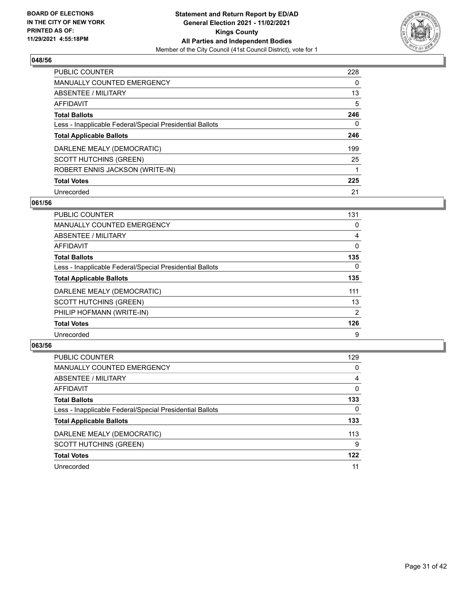

| <b>PUBLIC COUNTER</b>                                    | 228 |
|----------------------------------------------------------|-----|
| <b>MANUALLY COUNTED EMERGENCY</b>                        | 0   |
| <b>ABSENTEE / MILITARY</b>                               | 13  |
| AFFIDAVIT                                                | 5   |
| <b>Total Ballots</b>                                     | 246 |
| Less - Inapplicable Federal/Special Presidential Ballots | 0   |
| <b>Total Applicable Ballots</b>                          | 246 |
| DARLENE MEALY (DEMOCRATIC)                               | 199 |
| <b>SCOTT HUTCHINS (GREEN)</b>                            | 25  |
| ROBERT ENNIS JACKSON (WRITE-IN)                          |     |
| <b>Total Votes</b>                                       | 225 |
| Unrecorded                                               | 21  |

#### **061/56**

| <b>PUBLIC COUNTER</b>                                    | 131            |
|----------------------------------------------------------|----------------|
| <b>MANUALLY COUNTED EMERGENCY</b>                        | 0              |
| ABSENTEE / MILITARY                                      | 4              |
| <b>AFFIDAVIT</b>                                         | $\Omega$       |
| <b>Total Ballots</b>                                     | 135            |
| Less - Inapplicable Federal/Special Presidential Ballots | $\Omega$       |
| <b>Total Applicable Ballots</b>                          | 135            |
| DARLENE MEALY (DEMOCRATIC)                               | 111            |
| <b>SCOTT HUTCHINS (GREEN)</b>                            | 13             |
| PHILIP HOFMANN (WRITE-IN)                                | $\overline{2}$ |
| <b>Total Votes</b>                                       | 126            |
| Unrecorded                                               | 9              |

| <b>PUBLIC COUNTER</b>                                    | 129      |
|----------------------------------------------------------|----------|
| <b>MANUALLY COUNTED EMERGENCY</b>                        | $\Omega$ |
| ABSENTEE / MILITARY                                      | 4        |
| AFFIDAVIT                                                | $\Omega$ |
| <b>Total Ballots</b>                                     | 133      |
| Less - Inapplicable Federal/Special Presidential Ballots | $\Omega$ |
| <b>Total Applicable Ballots</b>                          | 133      |
| DARLENE MEALY (DEMOCRATIC)                               | 113      |
| <b>SCOTT HUTCHINS (GREEN)</b>                            | 9        |
| <b>Total Votes</b>                                       | 122      |
| Unrecorded                                               | 11       |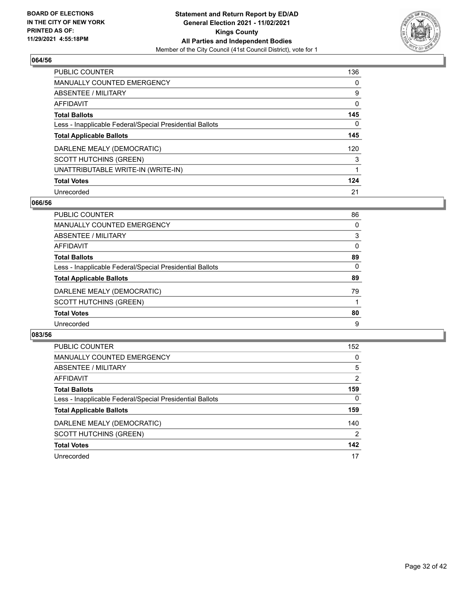

| <b>PUBLIC COUNTER</b>                                    | 136      |
|----------------------------------------------------------|----------|
| <b>MANUALLY COUNTED EMERGENCY</b>                        | $\Omega$ |
| ABSENTEE / MILITARY                                      | 9        |
| AFFIDAVIT                                                | 0        |
| <b>Total Ballots</b>                                     | 145      |
| Less - Inapplicable Federal/Special Presidential Ballots | 0        |
| <b>Total Applicable Ballots</b>                          | 145      |
| DARLENE MEALY (DEMOCRATIC)                               | 120      |
| <b>SCOTT HUTCHINS (GREEN)</b>                            | 3        |
| UNATTRIBUTABLE WRITE-IN (WRITE-IN)                       |          |
| <b>Total Votes</b>                                       | 124      |
| Unrecorded                                               | 21       |

#### **066/56**

| <b>PUBLIC COUNTER</b>                                    | 86       |
|----------------------------------------------------------|----------|
| <b>MANUALLY COUNTED EMERGENCY</b>                        | 0        |
| ABSENTEE / MILITARY                                      | 3        |
| <b>AFFIDAVIT</b>                                         | 0        |
| <b>Total Ballots</b>                                     | 89       |
| Less - Inapplicable Federal/Special Presidential Ballots | $\Omega$ |
| <b>Total Applicable Ballots</b>                          | 89       |
| DARLENE MEALY (DEMOCRATIC)                               | 79       |
| <b>SCOTT HUTCHINS (GREEN)</b>                            |          |
| <b>Total Votes</b>                                       | 80       |
| Unrecorded                                               | 9        |

| <b>PUBLIC COUNTER</b>                                    | 152            |
|----------------------------------------------------------|----------------|
| MANUALLY COUNTED EMERGENCY                               | 0              |
| ABSENTEE / MILITARY                                      | 5              |
| AFFIDAVIT                                                | $\overline{2}$ |
| <b>Total Ballots</b>                                     | 159            |
| Less - Inapplicable Federal/Special Presidential Ballots | $\Omega$       |
| <b>Total Applicable Ballots</b>                          | 159            |
| DARLENE MEALY (DEMOCRATIC)                               | 140            |
| <b>SCOTT HUTCHINS (GREEN)</b>                            | 2              |
| <b>Total Votes</b>                                       | 142            |
| Unrecorded                                               | 17             |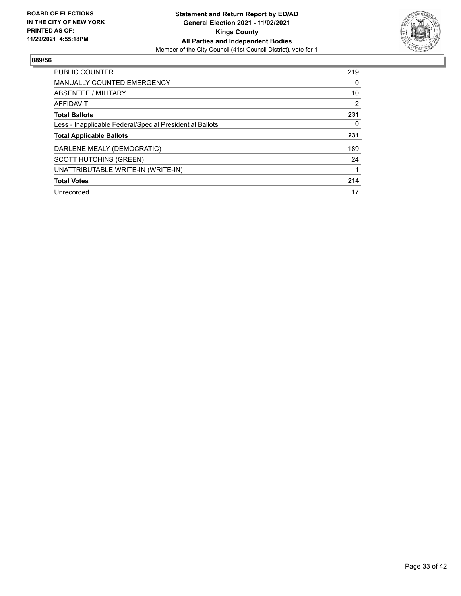

| <b>PUBLIC COUNTER</b>                                    | 219 |
|----------------------------------------------------------|-----|
| <b>MANUALLY COUNTED EMERGENCY</b>                        | 0   |
| ABSENTEE / MILITARY                                      | 10  |
| AFFIDAVIT                                                | 2   |
| <b>Total Ballots</b>                                     | 231 |
| Less - Inapplicable Federal/Special Presidential Ballots | 0   |
| <b>Total Applicable Ballots</b>                          | 231 |
| DARLENE MEALY (DEMOCRATIC)                               | 189 |
| <b>SCOTT HUTCHINS (GREEN)</b>                            | 24  |
| UNATTRIBUTABLE WRITE-IN (WRITE-IN)                       |     |
| <b>Total Votes</b>                                       | 214 |
| Unrecorded                                               | 17  |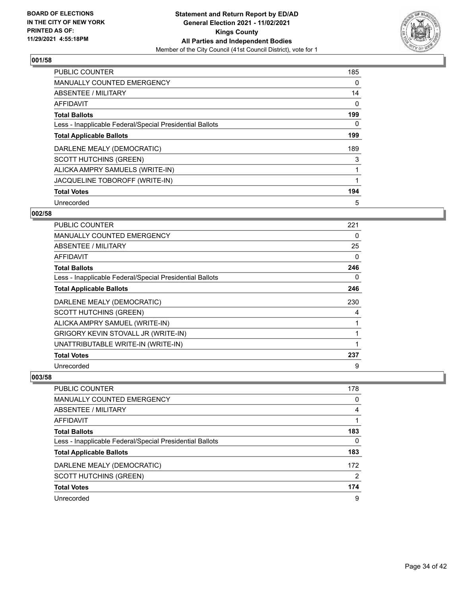

| <b>PUBLIC COUNTER</b>                                    | 185 |
|----------------------------------------------------------|-----|
| <b>MANUALLY COUNTED EMERGENCY</b>                        | 0   |
| ABSENTEE / MILITARY                                      | 14  |
| <b>AFFIDAVIT</b>                                         | 0   |
| <b>Total Ballots</b>                                     | 199 |
| Less - Inapplicable Federal/Special Presidential Ballots | 0   |
| <b>Total Applicable Ballots</b>                          | 199 |
| DARLENE MEALY (DEMOCRATIC)                               | 189 |
| <b>SCOTT HUTCHINS (GREEN)</b>                            | 3   |
| ALICKA AMPRY SAMUELS (WRITE-IN)                          |     |
| JACQUELINE TOBOROFF (WRITE-IN)                           | 1   |
| <b>Total Votes</b>                                       | 194 |
| Unrecorded                                               | 5   |

# **002/58**

| PUBLIC COUNTER                                           | 221 |
|----------------------------------------------------------|-----|
| MANUALLY COUNTED EMERGENCY                               | 0   |
| ABSENTEE / MILITARY                                      | 25  |
| <b>AFFIDAVIT</b>                                         | 0   |
| <b>Total Ballots</b>                                     | 246 |
| Less - Inapplicable Federal/Special Presidential Ballots | 0   |
| <b>Total Applicable Ballots</b>                          | 246 |
| DARLENE MEALY (DEMOCRATIC)                               | 230 |
| <b>SCOTT HUTCHINS (GREEN)</b>                            | 4   |
| ALICKA AMPRY SAMUEL (WRITE-IN)                           |     |
| <b>GRIGORY KEVIN STOVALL JR (WRITE-IN)</b>               | 1   |
| UNATTRIBUTABLE WRITE-IN (WRITE-IN)                       | 1   |
| <b>Total Votes</b>                                       | 237 |
| Unrecorded                                               | 9   |

| PUBLIC COUNTER                                           | 178      |
|----------------------------------------------------------|----------|
| MANUALLY COUNTED EMERGENCY                               | $\Omega$ |
| ABSENTEE / MILITARY                                      | 4        |
| AFFIDAVIT                                                |          |
| <b>Total Ballots</b>                                     | 183      |
| Less - Inapplicable Federal/Special Presidential Ballots | 0        |
| <b>Total Applicable Ballots</b>                          | 183      |
| DARLENE MEALY (DEMOCRATIC)                               | 172      |
| <b>SCOTT HUTCHINS (GREEN)</b>                            | 2        |
| <b>Total Votes</b>                                       | 174      |
| Unrecorded                                               | 9        |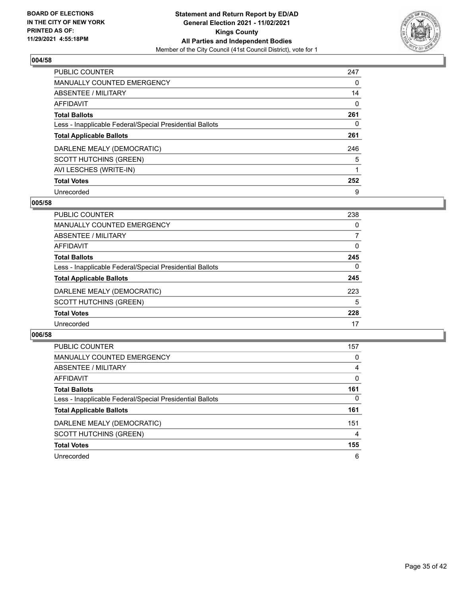

| PUBLIC COUNTER                                           | 247      |
|----------------------------------------------------------|----------|
| <b>MANUALLY COUNTED EMERGENCY</b>                        | 0        |
| ABSENTEE / MILITARY                                      | 14       |
| AFFIDAVIT                                                | $\Omega$ |
| <b>Total Ballots</b>                                     | 261      |
| Less - Inapplicable Federal/Special Presidential Ballots | 0        |
| <b>Total Applicable Ballots</b>                          | 261      |
| DARLENE MEALY (DEMOCRATIC)                               | 246      |
| <b>SCOTT HUTCHINS (GREEN)</b>                            | 5        |
| AVI LESCHES (WRITE-IN)                                   |          |
| <b>Total Votes</b>                                       | 252      |
| Unrecorded                                               | 9        |

#### **005/58**

| <b>PUBLIC COUNTER</b>                                    | 238          |
|----------------------------------------------------------|--------------|
| <b>MANUALLY COUNTED EMERGENCY</b>                        | 0            |
| ABSENTEE / MILITARY                                      |              |
| AFFIDAVIT                                                | 0            |
| <b>Total Ballots</b>                                     | 245          |
| Less - Inapplicable Federal/Special Presidential Ballots | $\mathbf{0}$ |
| <b>Total Applicable Ballots</b>                          | 245          |
| DARLENE MEALY (DEMOCRATIC)                               | 223          |
| <b>SCOTT HUTCHINS (GREEN)</b>                            | 5            |
| <b>Total Votes</b>                                       | 228          |
| Unrecorded                                               | 17           |

| <b>PUBLIC COUNTER</b>                                    | 157      |
|----------------------------------------------------------|----------|
| MANUALLY COUNTED EMERGENCY                               | 0        |
| ABSENTEE / MILITARY                                      | 4        |
| AFFIDAVIT                                                | $\Omega$ |
| <b>Total Ballots</b>                                     | 161      |
| Less - Inapplicable Federal/Special Presidential Ballots | $\Omega$ |
| <b>Total Applicable Ballots</b>                          | 161      |
| DARLENE MEALY (DEMOCRATIC)                               | 151      |
| <b>SCOTT HUTCHINS (GREEN)</b>                            | 4        |
| <b>Total Votes</b>                                       | 155      |
| Unrecorded                                               | 6        |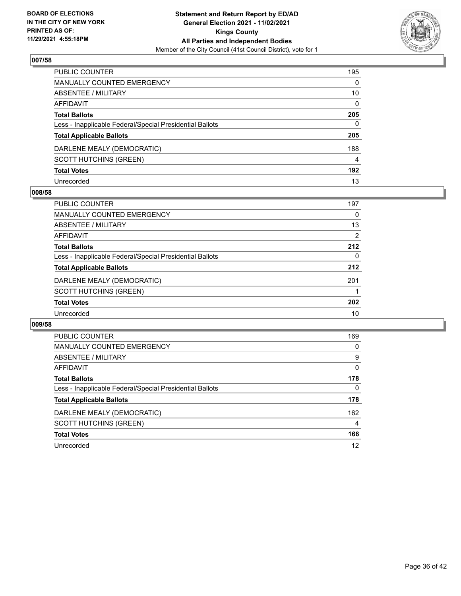

| PUBLIC COUNTER                                           | 195          |
|----------------------------------------------------------|--------------|
| <b>MANUALLY COUNTED EMERGENCY</b>                        | $\Omega$     |
| <b>ABSENTEE / MILITARY</b>                               | 10           |
| <b>AFFIDAVIT</b>                                         | $\mathbf{0}$ |
| <b>Total Ballots</b>                                     | 205          |
| Less - Inapplicable Federal/Special Presidential Ballots | 0            |
| <b>Total Applicable Ballots</b>                          | 205          |
| DARLENE MEALY (DEMOCRATIC)                               | 188          |
| <b>SCOTT HUTCHINS (GREEN)</b>                            | 4            |
| <b>Total Votes</b>                                       | 192          |
| Unrecorded                                               | 13           |

#### **008/58**

| PUBLIC COUNTER                                           | 197      |
|----------------------------------------------------------|----------|
| <b>MANUALLY COUNTED EMERGENCY</b>                        | 0        |
| <b>ABSENTEE / MILITARY</b>                               | 13       |
| AFFIDAVIT                                                | 2        |
| <b>Total Ballots</b>                                     | 212      |
| Less - Inapplicable Federal/Special Presidential Ballots | $\Omega$ |
| <b>Total Applicable Ballots</b>                          | 212      |
| DARLENE MEALY (DEMOCRATIC)                               | 201      |
| <b>SCOTT HUTCHINS (GREEN)</b>                            |          |
| <b>Total Votes</b>                                       | 202      |
| Unrecorded                                               | 10       |

| <b>PUBLIC COUNTER</b>                                    | 169      |
|----------------------------------------------------------|----------|
| <b>MANUALLY COUNTED EMERGENCY</b>                        | 0        |
| ABSENTEE / MILITARY                                      | 9        |
| AFFIDAVIT                                                | $\Omega$ |
| <b>Total Ballots</b>                                     | 178      |
| Less - Inapplicable Federal/Special Presidential Ballots | 0        |
| <b>Total Applicable Ballots</b>                          | 178      |
| DARLENE MEALY (DEMOCRATIC)                               | 162      |
| <b>SCOTT HUTCHINS (GREEN)</b>                            | 4        |
| <b>Total Votes</b>                                       | 166      |
| Unrecorded                                               | 12       |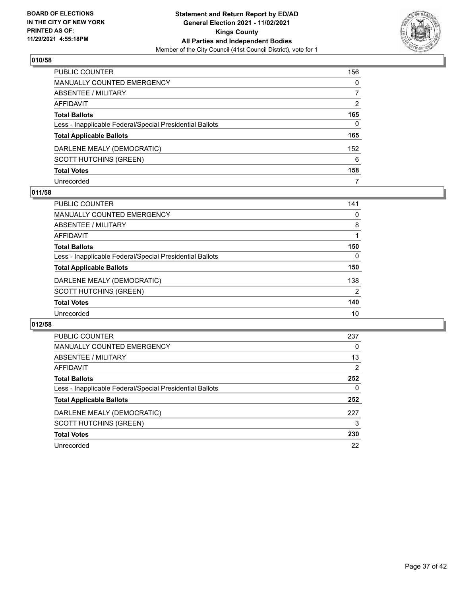

| PUBLIC COUNTER                                           | 156           |
|----------------------------------------------------------|---------------|
| <b>MANUALLY COUNTED EMERGENCY</b>                        | 0             |
| ABSENTEE / MILITARY                                      | 7             |
| AFFIDAVIT                                                | $\mathcal{P}$ |
| <b>Total Ballots</b>                                     | 165           |
| Less - Inapplicable Federal/Special Presidential Ballots | 0             |
| <b>Total Applicable Ballots</b>                          | 165           |
| DARLENE MEALY (DEMOCRATIC)                               | 152           |
| <b>SCOTT HUTCHINS (GREEN)</b>                            | 6             |
| <b>Total Votes</b>                                       | 158           |
| Unrecorded                                               | 7             |

## **011/58**

| PUBLIC COUNTER                                           | 141      |
|----------------------------------------------------------|----------|
| MANUALLY COUNTED EMERGENCY                               | 0        |
| ABSENTEE / MILITARY                                      | 8        |
| AFFIDAVIT                                                |          |
| <b>Total Ballots</b>                                     | 150      |
| Less - Inapplicable Federal/Special Presidential Ballots | $\Omega$ |
| <b>Total Applicable Ballots</b>                          | 150      |
| DARLENE MEALY (DEMOCRATIC)                               | 138      |
| <b>SCOTT HUTCHINS (GREEN)</b>                            | 2        |
| <b>Total Votes</b>                                       | 140      |
| Unrecorded                                               | 10       |

| <b>PUBLIC COUNTER</b>                                    | 237 |
|----------------------------------------------------------|-----|
| <b>MANUALLY COUNTED EMERGENCY</b>                        | 0   |
| ABSENTEE / MILITARY                                      | 13  |
| <b>AFFIDAVIT</b>                                         | 2   |
| <b>Total Ballots</b>                                     | 252 |
| Less - Inapplicable Federal/Special Presidential Ballots | 0   |
| <b>Total Applicable Ballots</b>                          | 252 |
| DARLENE MEALY (DEMOCRATIC)                               | 227 |
| <b>SCOTT HUTCHINS (GREEN)</b>                            | 3   |
| <b>Total Votes</b>                                       | 230 |
| Unrecorded                                               | 22  |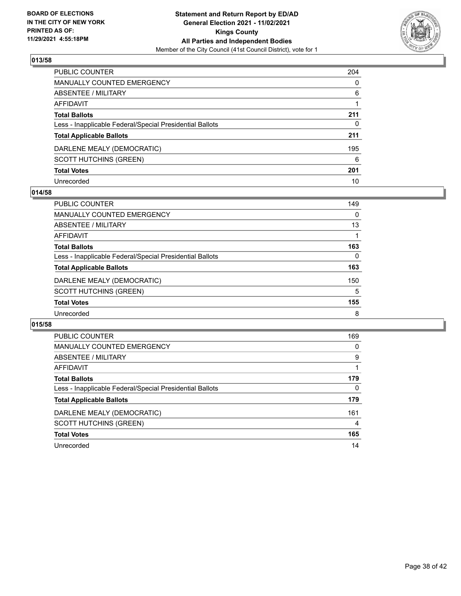

| PUBLIC COUNTER                                           | 204 |
|----------------------------------------------------------|-----|
| <b>MANUALLY COUNTED EMERGENCY</b>                        | 0   |
| <b>ABSENTEE / MILITARY</b>                               | 6   |
| AFFIDAVIT                                                |     |
| <b>Total Ballots</b>                                     | 211 |
| Less - Inapplicable Federal/Special Presidential Ballots | 0   |
| <b>Total Applicable Ballots</b>                          | 211 |
| DARLENE MEALY (DEMOCRATIC)                               | 195 |
| <b>SCOTT HUTCHINS (GREEN)</b>                            | 6   |
| <b>Total Votes</b>                                       | 201 |
| Unrecorded                                               | 10  |

#### **014/58**

| <b>PUBLIC COUNTER</b>                                    | 149      |
|----------------------------------------------------------|----------|
| MANUALLY COUNTED EMERGENCY                               | $\Omega$ |
| ABSENTEE / MILITARY                                      | 13       |
| AFFIDAVIT                                                |          |
| <b>Total Ballots</b>                                     | 163      |
| Less - Inapplicable Federal/Special Presidential Ballots | 0        |
| <b>Total Applicable Ballots</b>                          | 163      |
| DARLENE MEALY (DEMOCRATIC)                               | 150      |
| <b>SCOTT HUTCHINS (GREEN)</b>                            | 5        |
| <b>Total Votes</b>                                       | 155      |
| Unrecorded                                               | 8        |

| <b>PUBLIC COUNTER</b>                                    | 169      |
|----------------------------------------------------------|----------|
| <b>MANUALLY COUNTED EMERGENCY</b>                        | 0        |
| ABSENTEE / MILITARY                                      | 9        |
| <b>AFFIDAVIT</b>                                         |          |
| <b>Total Ballots</b>                                     | 179      |
| Less - Inapplicable Federal/Special Presidential Ballots | $\Omega$ |
| <b>Total Applicable Ballots</b>                          | 179      |
| DARLENE MEALY (DEMOCRATIC)                               | 161      |
| <b>SCOTT HUTCHINS (GREEN)</b>                            | 4        |
| <b>Total Votes</b>                                       | 165      |
| Unrecorded                                               | 14       |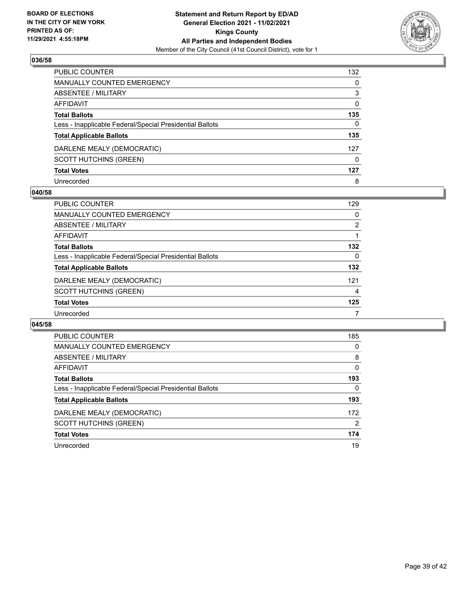

| PUBLIC COUNTER                                           | 132      |
|----------------------------------------------------------|----------|
| <b>MANUALLY COUNTED EMERGENCY</b>                        | $\Omega$ |
| <b>ABSENTEE / MILITARY</b>                               | 3        |
| <b>AFFIDAVIT</b>                                         | 0        |
| <b>Total Ballots</b>                                     | 135      |
| Less - Inapplicable Federal/Special Presidential Ballots | 0        |
| <b>Total Applicable Ballots</b>                          | 135      |
| DARLENE MEALY (DEMOCRATIC)                               | 127      |
| <b>SCOTT HUTCHINS (GREEN)</b>                            | $\Omega$ |
| <b>Total Votes</b>                                       | 127      |
| Unrecorded                                               | 8        |

#### **040/58**

| <b>PUBLIC COUNTER</b>                                    | 129            |
|----------------------------------------------------------|----------------|
| MANUALLY COUNTED EMERGENCY                               | 0              |
| ABSENTEE / MILITARY                                      | $\overline{2}$ |
| AFFIDAVIT                                                |                |
| <b>Total Ballots</b>                                     | 132            |
| Less - Inapplicable Federal/Special Presidential Ballots | 0              |
| <b>Total Applicable Ballots</b>                          | 132            |
| DARLENE MEALY (DEMOCRATIC)                               | 121            |
| <b>SCOTT HUTCHINS (GREEN)</b>                            | 4              |
| <b>Total Votes</b>                                       | 125            |
| Unrecorded                                               |                |

| <b>PUBLIC COUNTER</b>                                    | 185            |
|----------------------------------------------------------|----------------|
| <b>MANUALLY COUNTED EMERGENCY</b>                        | 0              |
| ABSENTEE / MILITARY                                      | 8              |
| AFFIDAVIT                                                | $\Omega$       |
| <b>Total Ballots</b>                                     | 193            |
| Less - Inapplicable Federal/Special Presidential Ballots | 0              |
| <b>Total Applicable Ballots</b>                          | 193            |
| DARLENE MEALY (DEMOCRATIC)                               | 172            |
| <b>SCOTT HUTCHINS (GREEN)</b>                            | $\overline{2}$ |
| <b>Total Votes</b>                                       | 174            |
| Unrecorded                                               | 19             |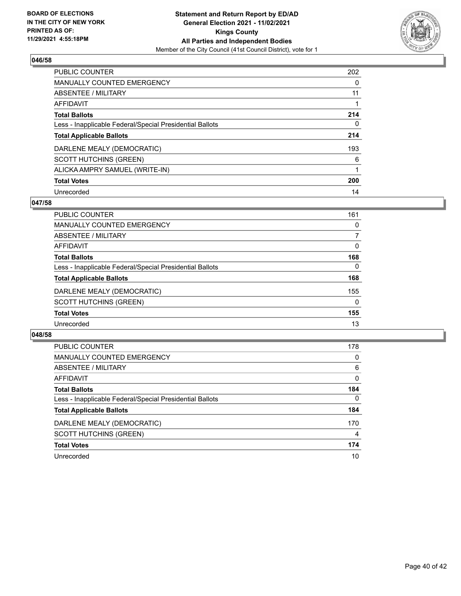

| PUBLIC COUNTER                                           | 202      |
|----------------------------------------------------------|----------|
| <b>MANUALLY COUNTED EMERGENCY</b>                        | 0        |
| ABSENTEE / MILITARY                                      | 11       |
| AFFIDAVIT                                                |          |
| <b>Total Ballots</b>                                     | 214      |
| Less - Inapplicable Federal/Special Presidential Ballots | $\Omega$ |
| <b>Total Applicable Ballots</b>                          | 214      |
| DARLENE MEALY (DEMOCRATIC)                               | 193      |
| <b>SCOTT HUTCHINS (GREEN)</b>                            | 6        |
| ALICKA AMPRY SAMUEL (WRITE-IN)                           |          |
| <b>Total Votes</b>                                       | 200      |
| Unrecorded                                               | 14       |

#### **047/58**

| <b>PUBLIC COUNTER</b>                                    | 161      |
|----------------------------------------------------------|----------|
| <b>MANUALLY COUNTED EMERGENCY</b>                        | 0        |
| ABSENTEE / MILITARY                                      |          |
| AFFIDAVIT                                                | 0        |
| <b>Total Ballots</b>                                     | 168      |
| Less - Inapplicable Federal/Special Presidential Ballots | $\Omega$ |
| <b>Total Applicable Ballots</b>                          | 168      |
| DARLENE MEALY (DEMOCRATIC)                               | 155      |
| <b>SCOTT HUTCHINS (GREEN)</b>                            | $\Omega$ |
| <b>Total Votes</b>                                       | 155      |
| Unrecorded                                               | 13       |

| <b>PUBLIC COUNTER</b>                                    | 178      |
|----------------------------------------------------------|----------|
| <b>MANUALLY COUNTED EMERGENCY</b>                        | $\Omega$ |
| ABSENTEE / MILITARY                                      | 6        |
| AFFIDAVIT                                                | $\Omega$ |
| <b>Total Ballots</b>                                     | 184      |
| Less - Inapplicable Federal/Special Presidential Ballots | $\Omega$ |
| <b>Total Applicable Ballots</b>                          | 184      |
| DARLENE MEALY (DEMOCRATIC)                               | 170      |
| <b>SCOTT HUTCHINS (GREEN)</b>                            | 4        |
| <b>Total Votes</b>                                       | 174      |
| Unrecorded                                               | 10       |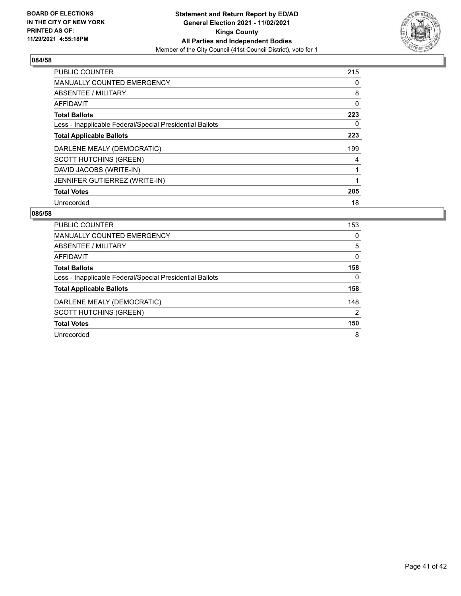

| <b>PUBLIC COUNTER</b>                                    | 215 |
|----------------------------------------------------------|-----|
| <b>MANUALLY COUNTED EMERGENCY</b>                        | 0   |
| ABSENTEE / MILITARY                                      | 8   |
| <b>AFFIDAVIT</b>                                         | 0   |
| <b>Total Ballots</b>                                     | 223 |
| Less - Inapplicable Federal/Special Presidential Ballots | 0   |
| <b>Total Applicable Ballots</b>                          | 223 |
| DARLENE MEALY (DEMOCRATIC)                               | 199 |
| <b>SCOTT HUTCHINS (GREEN)</b>                            | 4   |
| DAVID JACOBS (WRITE-IN)                                  |     |
| JENNIFER GUTIERREZ (WRITE-IN)                            |     |
| <b>Total Votes</b>                                       | 205 |
| Unrecorded                                               | 18  |

| PUBLIC COUNTER                                           | 153           |
|----------------------------------------------------------|---------------|
| <b>MANUALLY COUNTED EMERGENCY</b>                        | 0             |
| ABSENTEE / MILITARY                                      | 5             |
| AFFIDAVIT                                                | 0             |
| <b>Total Ballots</b>                                     | 158           |
| Less - Inapplicable Federal/Special Presidential Ballots | 0             |
| <b>Total Applicable Ballots</b>                          | 158           |
| DARLENE MEALY (DEMOCRATIC)                               | 148           |
| <b>SCOTT HUTCHINS (GREEN)</b>                            | $\mathcal{P}$ |
| <b>Total Votes</b>                                       | 150           |
| Unrecorded                                               | 8             |